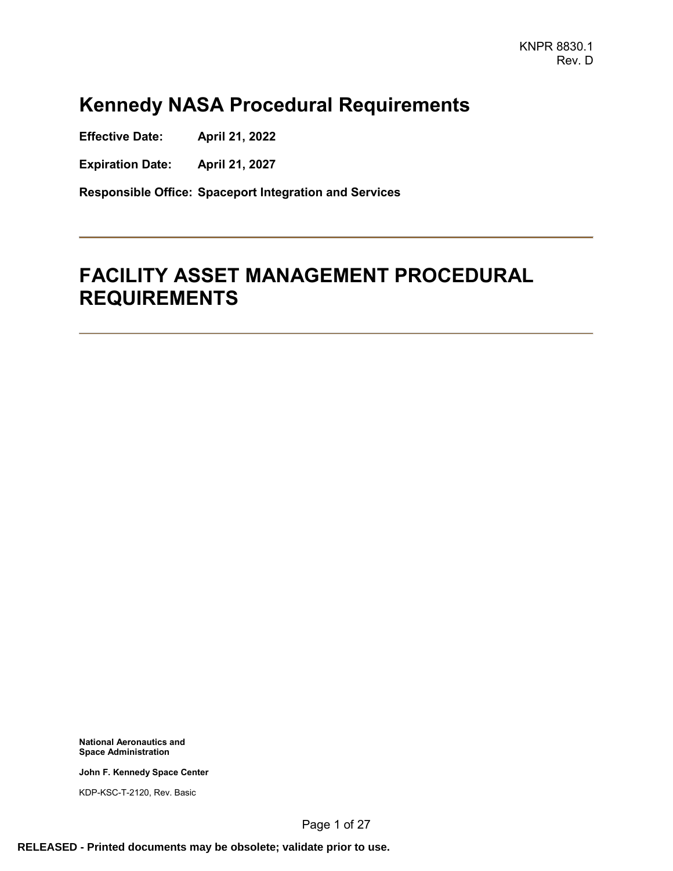# **Kennedy NASA Procedural Requirements**

**Effective Date: April 21, 2022**

**Expiration Date: April 21, 2027**

**Responsible Office: Spaceport Integration and Services**

# **FACILITY ASSET MANAGEMENT PROCEDURAL REQUIREMENTS**

**National Aeronautics and Space Administration**

**John F. Kennedy Space Center**

KDP-KSC-T-2120, Rev. Basic

Page 1 of 27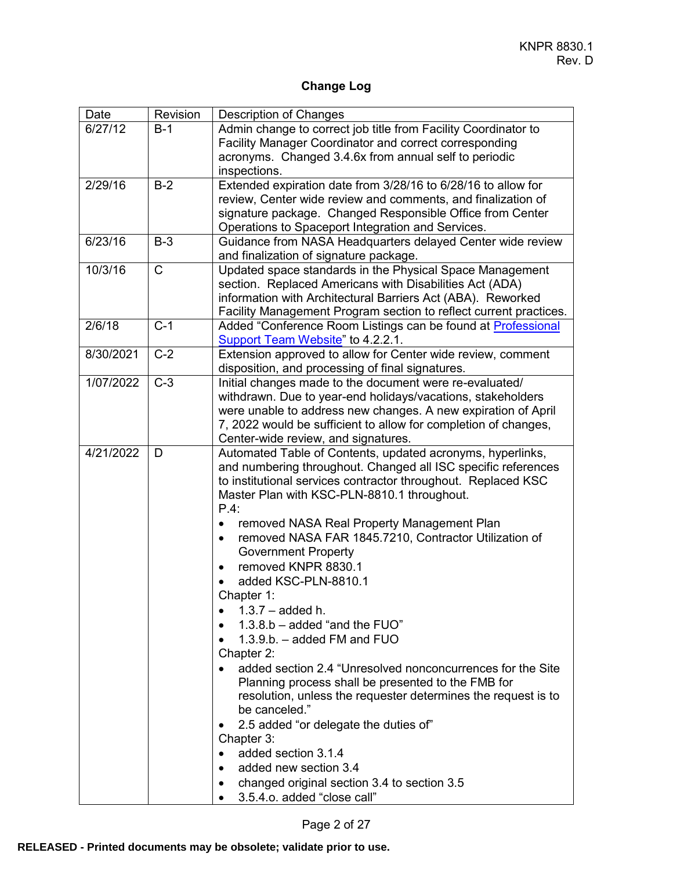## **Change Log**

| Date      | Revision    | <b>Description of Changes</b>                                                                                                                                                                                                                                                                                                                                                                                                                                                                                                                                                                                                                                                                                                                                                                                                                                                                                                                                                                      |
|-----------|-------------|----------------------------------------------------------------------------------------------------------------------------------------------------------------------------------------------------------------------------------------------------------------------------------------------------------------------------------------------------------------------------------------------------------------------------------------------------------------------------------------------------------------------------------------------------------------------------------------------------------------------------------------------------------------------------------------------------------------------------------------------------------------------------------------------------------------------------------------------------------------------------------------------------------------------------------------------------------------------------------------------------|
| 6/27/12   | $B-1$       | Admin change to correct job title from Facility Coordinator to<br>Facility Manager Coordinator and correct corresponding<br>acronyms. Changed 3.4.6x from annual self to periodic<br>inspections.                                                                                                                                                                                                                                                                                                                                                                                                                                                                                                                                                                                                                                                                                                                                                                                                  |
| 2/29/16   | $B-2$       | Extended expiration date from 3/28/16 to 6/28/16 to allow for<br>review, Center wide review and comments, and finalization of<br>signature package. Changed Responsible Office from Center<br>Operations to Spaceport Integration and Services.                                                                                                                                                                                                                                                                                                                                                                                                                                                                                                                                                                                                                                                                                                                                                    |
| 6/23/16   | $B-3$       | Guidance from NASA Headquarters delayed Center wide review<br>and finalization of signature package.                                                                                                                                                                                                                                                                                                                                                                                                                                                                                                                                                                                                                                                                                                                                                                                                                                                                                               |
| 10/3/16   | $\mathsf C$ | Updated space standards in the Physical Space Management<br>section. Replaced Americans with Disabilities Act (ADA)<br>information with Architectural Barriers Act (ABA). Reworked<br>Facility Management Program section to reflect current practices.                                                                                                                                                                                                                                                                                                                                                                                                                                                                                                                                                                                                                                                                                                                                            |
| 2/6/18    | $C-1$       | Added "Conference Room Listings can be found at Professional<br>Support Team Website" to 4.2.2.1.                                                                                                                                                                                                                                                                                                                                                                                                                                                                                                                                                                                                                                                                                                                                                                                                                                                                                                  |
| 8/30/2021 | $C-2$       | Extension approved to allow for Center wide review, comment<br>disposition, and processing of final signatures.                                                                                                                                                                                                                                                                                                                                                                                                                                                                                                                                                                                                                                                                                                                                                                                                                                                                                    |
| 1/07/2022 | $C-3$       | Initial changes made to the document were re-evaluated/<br>withdrawn. Due to year-end holidays/vacations, stakeholders<br>were unable to address new changes. A new expiration of April<br>7, 2022 would be sufficient to allow for completion of changes,<br>Center-wide review, and signatures.                                                                                                                                                                                                                                                                                                                                                                                                                                                                                                                                                                                                                                                                                                  |
| 4/21/2022 | D           | Automated Table of Contents, updated acronyms, hyperlinks,<br>and numbering throughout. Changed all ISC specific references<br>to institutional services contractor throughout. Replaced KSC<br>Master Plan with KSC-PLN-8810.1 throughout.<br>$P.4$ :<br>removed NASA Real Property Management Plan<br>$\bullet$<br>removed NASA FAR 1845.7210, Contractor Utilization of<br>$\bullet$<br><b>Government Property</b><br>removed KNPR 8830.1<br>$\bullet$<br>added KSC-PLN-8810.1<br>Chapter 1:<br>$1.3.7 - added h.$<br>$1.3.8 b - added$ "and the FUO"<br>$1.3.9.b. - added FM and FUO$<br>Chapter 2:<br>added section 2.4 "Unresolved nonconcurrences for the Site<br>Planning process shall be presented to the FMB for<br>resolution, unless the requester determines the request is to<br>be canceled."<br>2.5 added "or delegate the duties of"<br>Chapter 3:<br>added section 3.1.4<br>added new section 3.4<br>changed original section 3.4 to section 3.5<br>3.5.4.o. added "close call" |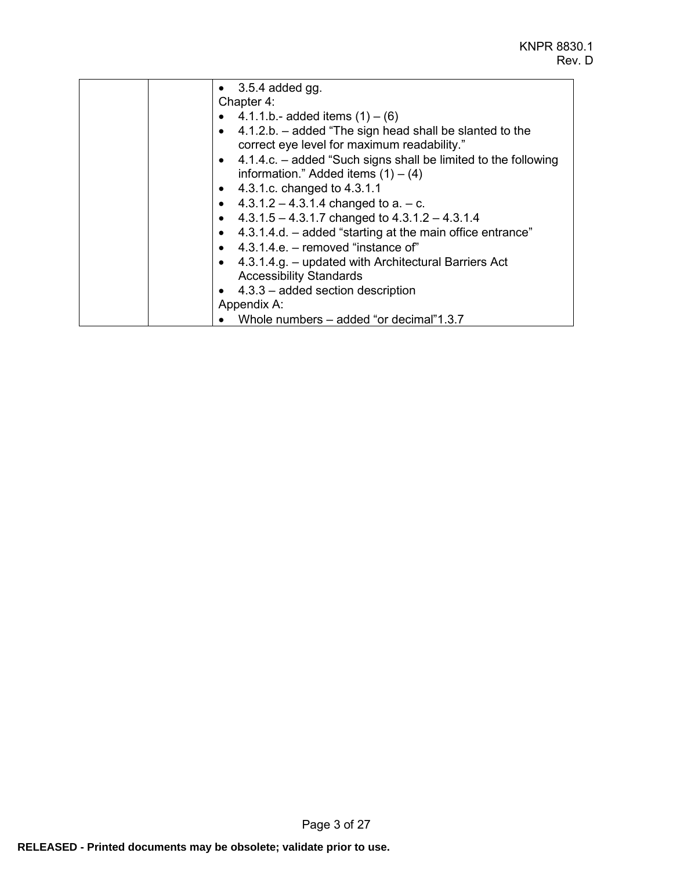| $\bullet$ 3.5.4 added gg.                                          |
|--------------------------------------------------------------------|
| Chapter 4:                                                         |
| • 4.1.1.b.- added items $(1) - (6)$                                |
| $\bullet$ 4.1.2.b. – added "The sign head shall be slanted to the  |
| correct eye level for maximum readability."                        |
| • $4.1.4.c.$ – added "Such signs shall be limited to the following |
| information." Added items $(1) - (4)$                              |
| • $4.3.1.c.$ changed to $4.3.1.1$                                  |
| • $4.3.1.2 - 4.3.1.4$ changed to a. $-$ c.                         |
| • $4.3.1.5 - 4.3.1.7$ changed to $4.3.1.2 - 4.3.1.4$               |
| • $4.3.1.4.d.$ – added "starting at the main office entrance"      |
| $\bullet$ 4.3.1.4.e. – removed "instance of"                       |
| • 4.3.1.4.g. – updated with Architectural Barriers Act             |
| <b>Accessibility Standards</b>                                     |
| $\bullet$ 4.3.3 – added section description                        |
| Appendix A:                                                        |
| Whole numbers – added "or decimal"1.3.7                            |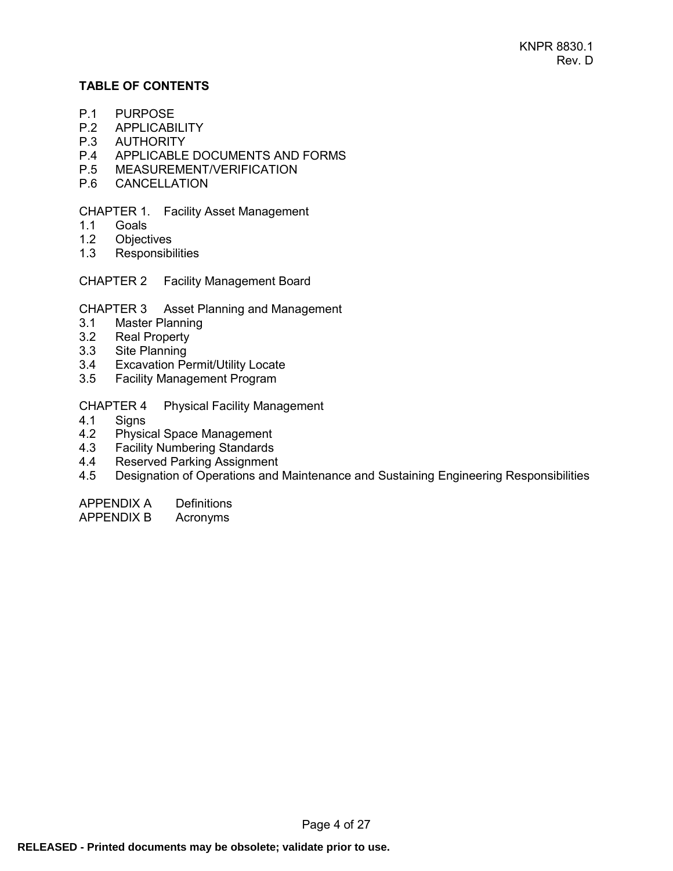## **TABLE OF CONTENTS**

- P.1 [PURPOSE](#page-4-0)<br>P.2 APPLICABI
- **[APPLICABILITY](#page-4-1)**
- P.3 [AUTHORITY](#page-4-2)
- P.4 [APPLICABLE DOCUMENTS AND FORMS](#page-4-3)
- P.5 [MEASUREMENT/VERIFICATION](#page-5-0)
- P.6 [CANCELLATION](#page-5-1)

## CHAPTER 1. [Facility Asset Management](#page-6-0)

- 1.1 [Goals](#page-6-1)
- 1.2 [Objectives](#page-6-2)
- 1.3 [Responsibilities](#page-6-3)
- CHAPTER 2 [Facility Management Board](#page-9-0)
- CHAPTER 3 [Asset Planning and Management](#page-10-0)
- 3.1 [Master Planning](#page-10-1)<br>3.2 Real Property
- **[Real Property](#page-10-2)**
- 3.3 [Site Planning](#page-10-3)
- 3.4 [Excavation Permit/Utility Locate](#page-10-4)
- 3.5 [Facility Management Program](#page-11-0)

CHAPTER 4 [Physical Facility Management](#page-14-0)

- 4.1 [Signs](#page-14-1)
- 4.2 [Physical Space Management](#page-15-0)<br>4.3 Facility Numbering Standards
- **[Facility Numbering Standards](#page-17-0)**
- 4.4 [Reserved Parking Assignment](#page-20-0)
- 4.5 [Designation of Operations and Maintenance and Sustaining Engineering Responsibilities](#page-21-0)

[APPENDIX A](#page-23-0) Definitions

[APPENDIX B](#page-26-0) Acronyms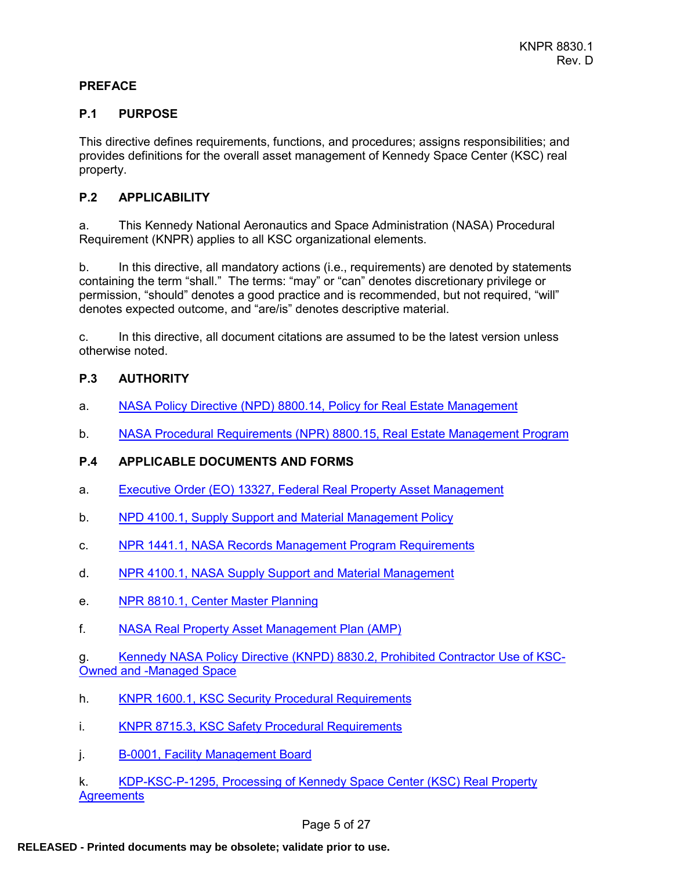#### **PREFACE**

#### <span id="page-4-0"></span>**P.1 PURPOSE**

This directive defines requirements, functions, and procedures; assigns responsibilities; and provides definitions for the overall asset management of Kennedy Space Center (KSC) real property.

## <span id="page-4-1"></span>**P.2 APPLICABILITY**

a. This Kennedy National Aeronautics and Space Administration (NASA) Procedural Requirement (KNPR) applies to all KSC organizational elements.

b. In this directive, all mandatory actions (i.e., requirements) are denoted by statements containing the term "shall." The terms: "may" or "can" denotes discretionary privilege or permission, "should" denotes a good practice and is recommended, but not required, "will" denotes expected outcome, and "are/is" denotes descriptive material.

c. In this directive, all document citations are assumed to be the latest version unless otherwise noted.

## <span id="page-4-2"></span>**P.3 AUTHORITY**

- a. [NASA Policy Directive \(NPD\)](http://nodis3.gsfc.nasa.gov/lib_docs.cfm?range=8___) 8800.14, Policy for Real Estate Management
- b. NASA Procedural Requirements (NPR) [8800.15, Real Estate Management Program](http://nodis3.gsfc.nasa.gov/main_lib.cfm;jsessionid=B9005DEC0F2BD4272C3A17D3D336F5C5.cfusion?CFID=12444322&CFTOKEN=35019596)

## <span id="page-4-3"></span>**P.4 APPLICABLE DOCUMENTS AND FORMS**

- a. Executive Order (EO) [13327, Federal Real Property Asset Management](http://www.archives.gov/federal-register/index.html)
- b. [NPD 4100.1, Supply Support and Material Management Policy](http://nodis3.gsfc.nasa.gov/lib_docs.cfm?range=4___)
- c. [NPR 1441.1, NASA Records Management Program Requirements](http://nodis3.gsfc.nasa.gov/main_lib.cfm?CFID=12444322&CFTOKEN=35019596)
- d. [NPR 4100.1, NASA Supply Support and Material Management](http://nodis3.gsfc.nasa.gov/lib_docs.cfm?range=4___)
- e. [NPR 8810.1, Center Master Planning](http://nodis3.gsfc.nasa.gov/lib_docs.cfm?range=8___)
- f. [NASA Real Property Asset Management Plan \(AMP\)](http://www.hq.nasa.gov/office/codej/codejx/Assets/Docs/3-14-08AssetManagementPlandtdJanuary2008.pdf)

g. Kennedy NASA Policy Directive (KNPD) [8830.2, Prohibited Contractor Use of KSC-](https://tdksc.ksc.nasa.gov/servlet/dm.web.Fetch/knpd_8830.2.pdf?doc=knpd_8830.2&rev=$latest)[Owned and -Managed Space](https://tdksc.ksc.nasa.gov/servlet/dm.web.Fetch/knpd_8830.2.pdf?doc=knpd_8830.2&rev=$latest)

- h. [KNPR 1600.1, KSC Security Procedural Requirements](https://tdksc.ksc.nasa.gov/servlet/dm.web.Fetch/knpr_1600.1.pdf?doc=knpr_1600.1&rev=$latest)
- i. [KNPR 8715.3, KSC Safety Procedural Requirements](https://tdksc.ksc.nasa.gov/servlet/dm.web.Fetch?did=7261&rev=$latest)
- j. B-0001, Facility [Management Board](https://tdksc.ksc.nasa.gov/servlet/dm.web.Fetch?did=26557&rev=$latest)

k. [KDP-KSC-P-1295, Processing of Kennedy Space Center \(KSC\) Real Property](https://tdksc.ksc.nasa.gov/servlet/dm.web.Fetch?did=35918&rev=$latest)  **[Agreements](https://tdksc.ksc.nasa.gov/servlet/dm.web.Fetch?did=35918&rev=$latest)**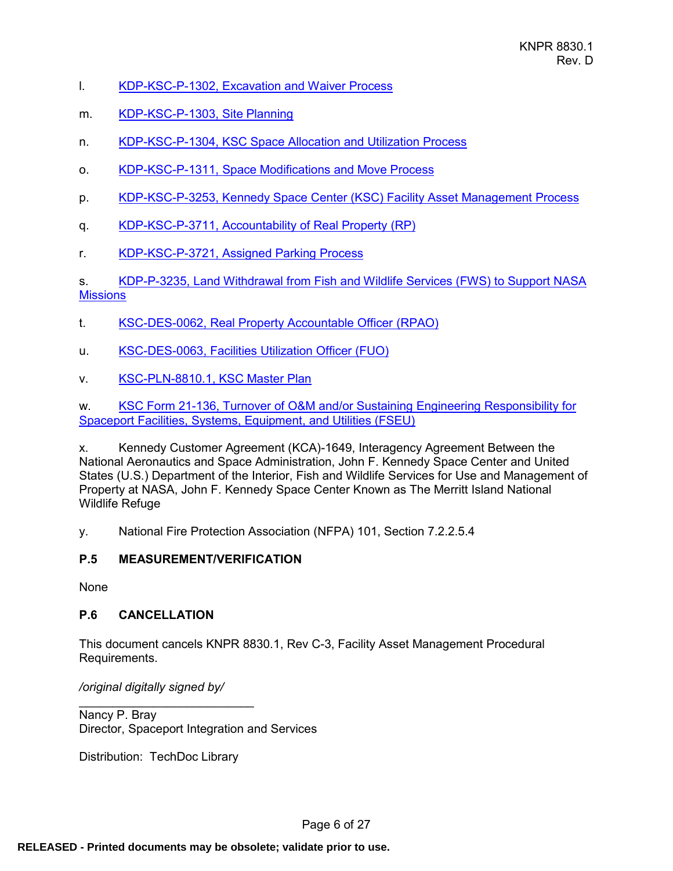- I. [KDP-KSC-P-1302, Excavation and Waiver Process](https://tdksc.ksc.nasa.gov/servlet/dm.web.Fetch?did=986147&rev=$latest)
- m. [KDP-KSC-P-1303, Site Planning](https://tdksc.ksc.nasa.gov/servlet/dm.web.Fetch/kdp-ksc-p-1303.pdf?doc=kdp-ksc-p-1303&rev=$latest)
- n. [KDP-KSC-P-1304, KSC Space Allocation and Utilization Process](https://tdksc.ksc.nasa.gov/servlet/dm.web.Fetch/kdp-ksc-p-1304.pdf?doc=kdp-ksc-p-1304&rev=$latest)
- o. [KDP-KSC-P-1311, Space Modifications](https://tdksc.ksc.nasa.gov/servlet/dm.web.Fetch/kdp-ksc-p-1311.pdf?doc=kdp-ksc-p-1311&rev=$latest) and Move Process
- p. [KDP-KSC-P-3253, Kennedy Space Center](https://tdksc.ksc.nasa.gov/servlet/dm.web.Fetch/kdp-ksc-p-3253.pdf?doc=kdp-ksc-p-3253&rev=$latest) (KSC) Facility Asset Management Process
- q. [KDP-KSC-P-3711, Accountability of Real Property](https://tdksc.ksc.nasa.gov/servlet/dm.web.Fetch/kdp-ksc-p-3711.pdf?doc=kdp-ksc-p-3711&rev=$latest) (RP)
- r. [KDP-KSC-P-3721, Assigned Parking](https://tdksc.ksc.nasa.gov/servlet/dm.web.Fetch/kdp-ksc-p-3721.pdf?doc=kdp-ksc-p-3721&rev=$latest) Process

s. [KDP-P-3235, Land Withdrawal from Fish and Wildlife Services \(FWS\)](https://tdksc.ksc.nasa.gov/servlet/dm.web.Fetch?did=8521&rev=$latest) to Support NASA **[Missions](https://tdksc.ksc.nasa.gov/servlet/dm.web.Fetch?did=8521&rev=$latest)** 

- t. [KSC-DES-0062, Real Property Accountable Officer](https://tdksc.ksc.nasa.gov/servlet/dm.web.Fetch/ksc-des-0062.pdf?doc=ksc-des-0062&rev=$latest) (RPAO)
- u. [KSC-DES-0063, Facilities Utilization Officer](https://tdksc.ksc.nasa.gov/servlet/dm.web.Fetch/ksc-des-0063.pdf?doc=ksc-des-0063&rev=$latest) (FUO)
- v. [KSC-PLN-8810.1, KSC Master Plan](http://masterplan.ksc.nasa.gov/)

w. [KSC Form 21-136, Turnover of O&M and/or](https://nef.nasa.gov/search?query=21-136¢er=7¢er=1) Sustaining Engineering Responsibility for Spaceport [Facilities, Systems, Equipment, and Utilities \(FSEU\)](https://nef.nasa.gov/search?query=21-136¢er=7¢er=1)

x. Kennedy Customer Agreement (KCA)-1649, Interagency Agreement Between the National Aeronautics and Space Administration, John F. Kennedy Space Center and United States (U.S.) Department of the Interior, Fish and Wildlife Services for Use and Management of Property at NASA, John F. Kennedy Space Center Known as The Merritt Island National Wildlife Refuge

y. National Fire Protection Association (NFPA) 101, Section 7.2.2.5.4

#### <span id="page-5-0"></span>**P.5 MEASUREMENT/VERIFICATION**

None

#### <span id="page-5-1"></span>**P.6 CANCELLATION**

This document cancels KNPR 8830.1, Rev C-3, Facility Asset Management Procedural Requirements.

*/original digitally signed by/*

 $\mathcal{L}_\text{max}$  , where  $\mathcal{L}_\text{max}$  is the set of the set of the set of the set of the set of the set of the set of the set of the set of the set of the set of the set of the set of the set of the set of the set of the se

Nancy P. Bray Director, Spaceport Integration and Services

Distribution: TechDoc Library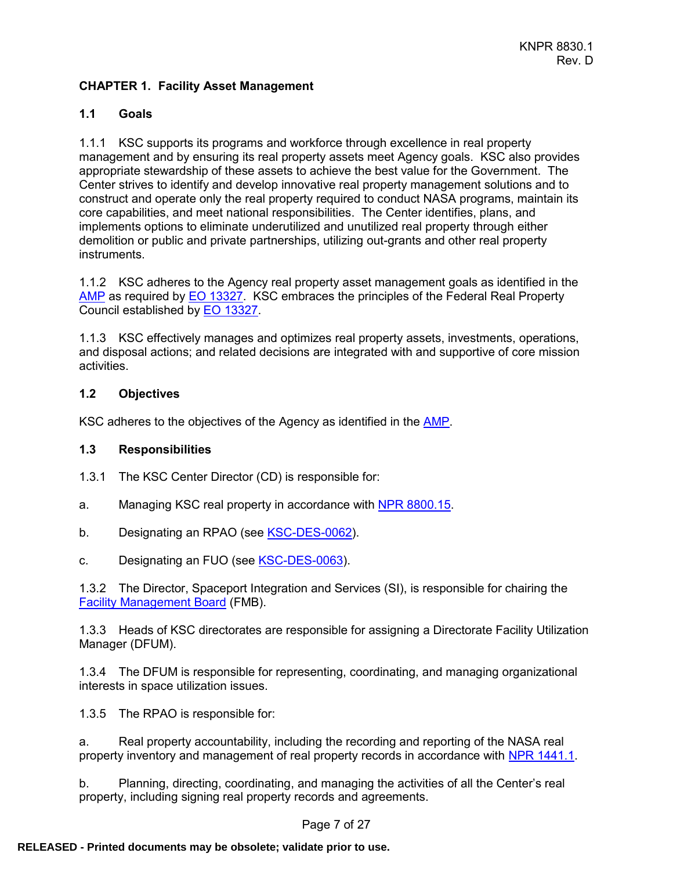## <span id="page-6-0"></span>**CHAPTER 1. Facility Asset Management**

## <span id="page-6-1"></span>**1.1 Goals**

1.1.1 KSC supports its programs and workforce through excellence in real property management and by ensuring its real property assets meet Agency goals. KSC also provides appropriate stewardship of these assets to achieve the best value for the Government. The Center strives to identify and develop innovative real property management solutions and to construct and operate only the real property required to conduct NASA programs, maintain its core capabilities, and meet national responsibilities. The Center identifies, plans, and implements options to eliminate underutilized and unutilized real property through either demolition or public and private partnerships, utilizing out-grants and other real property instruments.

1.1.2 KSC adheres to the Agency real property asset management goals as identified in the [AMP](http://www.hq.nasa.gov/office/codej/codejx/Assets/Docs/3-14-08AssetManagementPlandtdJanuary2008.pdf) as required by [EO 13327.](https://www.govinfo.gov/content/pkg/FR-2004-02-06/pdf/04-2773.pdf) KSC embraces the principles of the Federal Real Property Council established by **EO 13327**.

1.1.3 KSC effectively manages and optimizes real property assets, investments, operations, and disposal actions; and related decisions are integrated with and supportive of core mission activities.

#### <span id="page-6-2"></span>**1.2 Objectives**

KSC adheres to the objectives of the Agency as identified in the [AMP.](http://www.hq.nasa.gov/office/codej/codejx/Assets/Docs/3-14-08AssetManagementPlandtdJanuary2008.pdf)

#### <span id="page-6-3"></span>**1.3 Responsibilities**

- 1.3.1 The KSC Center Director (CD) is responsible for:
- a. Managing KSC real property in accordance with [NPR 8800.15.](http://nodis3.gsfc.nasa.gov/lib_docs.cfm?range=8___)
- b. Designating an RPAO (see **[KSC-DES-0062\)](https://tdksc.ksc.nasa.gov/servlet/dm.web.Fetch/ksc-des-0062.pdf?doc=ksc-des-0062&rev=$latest)**.
- c. Designating an FUO (see [KSC-DES-0063\)](https://tdksc.ksc.nasa.gov/servlet/dm.web.Fetch/ksc-des-0063.pdf?doc=ksc-des-0063&rev=$latest).

1.3.2 The Director, Spaceport Integration and Services (SI), is responsible for chairing the [Facility Management Board](https://tdksc.ksc.nasa.gov/servlet/dm.web.Fetch?did=26557&rev=$latest) (FMB).

1.3.3 Heads of KSC directorates are responsible for assigning a Directorate Facility Utilization Manager (DFUM).

1.3.4 The DFUM is responsible for representing, coordinating, and managing organizational interests in space utilization issues.

1.3.5 The RPAO is responsible for:

a. Real property accountability, including the recording and reporting of the NASA real property inventory and management of real property records in accordance with [NPR 1441.1.](http://nodis3.gsfc.nasa.gov/lib_docs.cfm?range=1___)

b. Planning, directing, coordinating, and managing the activities of all the Center's real property, including signing real property records and agreements.

Page 7 of 27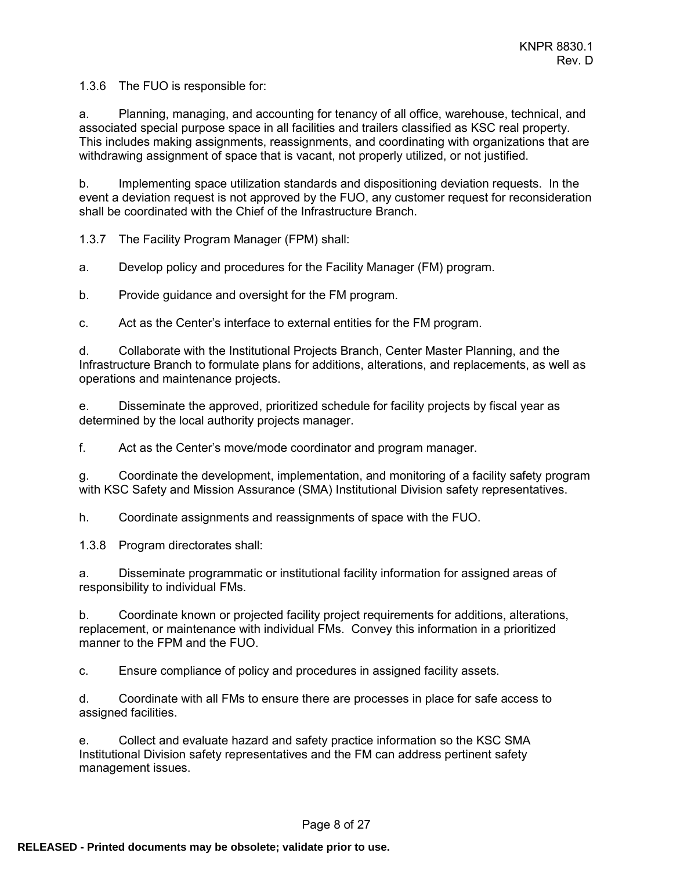1.3.6 The FUO is responsible for:

a. Planning, managing, and accounting for tenancy of all office, warehouse, technical, and associated special purpose space in all facilities and trailers classified as KSC real property. This includes making assignments, reassignments, and coordinating with organizations that are withdrawing assignment of space that is vacant, not properly utilized, or not justified.

b. Implementing space utilization standards and dispositioning deviation requests. In the event a deviation request is not approved by the FUO, any customer request for reconsideration shall be coordinated with the Chief of the Infrastructure Branch.

1.3.7 The Facility Program Manager (FPM) shall:

a. Develop policy and procedures for the Facility Manager (FM) program.

b. Provide guidance and oversight for the FM program.

c. Act as the Center's interface to external entities for the FM program.

d. Collaborate with the Institutional Projects Branch, Center Master Planning, and the Infrastructure Branch to formulate plans for additions, alterations, and replacements, as well as operations and maintenance projects.

e. Disseminate the approved, prioritized schedule for facility projects by fiscal year as determined by the local authority projects manager.

f. Act as the Center's move/mode coordinator and program manager.

g. Coordinate the development, implementation, and monitoring of a facility safety program with KSC Safety and Mission Assurance (SMA) Institutional Division safety representatives.

h. Coordinate assignments and reassignments of space with the FUO.

1.3.8 Program directorates shall:

a. Disseminate programmatic or institutional facility information for assigned areas of responsibility to individual FMs.

b. Coordinate known or projected facility project requirements for additions, alterations, replacement, or maintenance with individual FMs. Convey this information in a prioritized manner to the FPM and the FUO.

c. Ensure compliance of policy and procedures in assigned facility assets.

d. Coordinate with all FMs to ensure there are processes in place for safe access to assigned facilities.

e. Collect and evaluate hazard and safety practice information so the KSC SMA Institutional Division safety representatives and the FM can address pertinent safety management issues.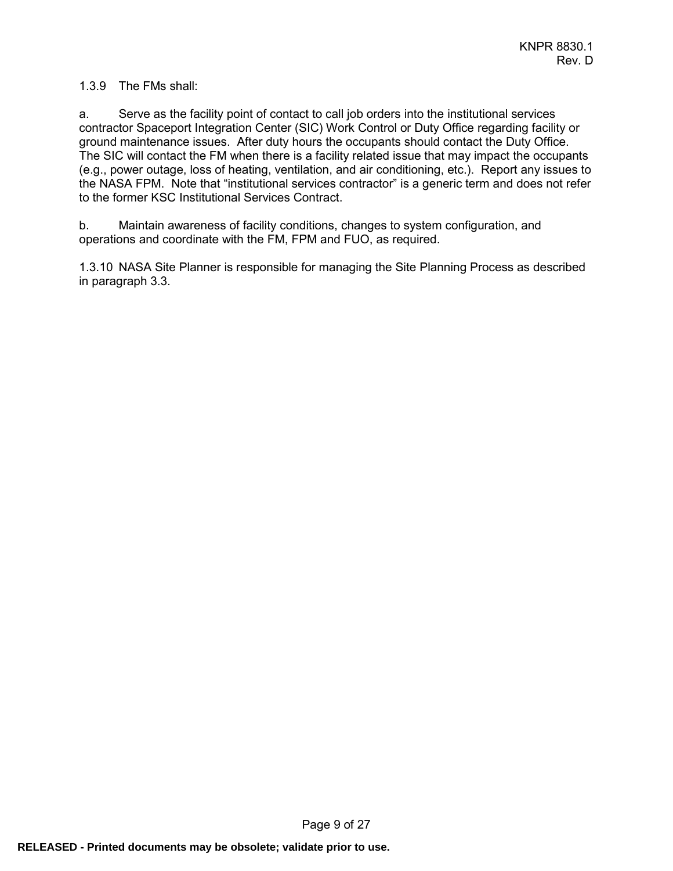## 1.3.9 The FMs shall:

a. Serve as the facility point of contact to call job orders into the institutional services contractor Spaceport Integration Center (SIC) Work Control or Duty Office regarding facility or ground maintenance issues. After duty hours the occupants should contact the Duty Office. The SIC will contact the FM when there is a facility related issue that may impact the occupants (e.g., power outage, loss of heating, ventilation, and air conditioning, etc.). Report any issues to the NASA FPM. Note that "institutional services contractor" is a generic term and does not refer to the former KSC Institutional Services Contract.

b. Maintain awareness of facility conditions, changes to system configuration, and operations and coordinate with the FM, FPM and FUO, as required.

1.3.10 NASA Site Planner is responsible for managing the Site Planning Process as described in paragraph 3.3.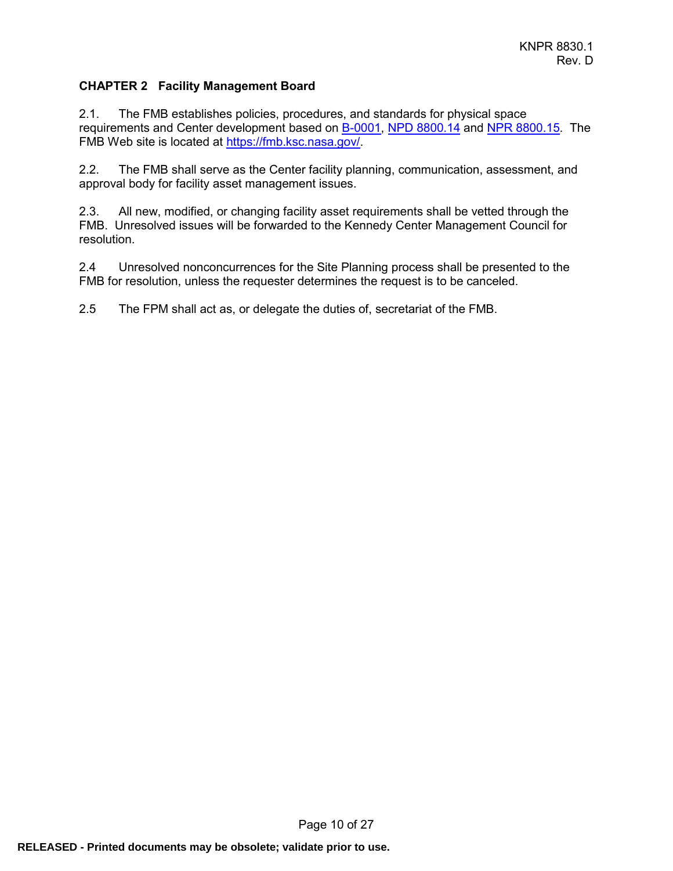## <span id="page-9-0"></span>**CHAPTER 2 Facility Management Board**

2.1. The FMB establishes policies, procedures, and standards for physical space requirements and Center development based on [B-0001,](https://tdksc.ksc.nasa.gov/servlet/dm.web.Fetch?did=26557&rev=$latest) NPD [8800.14](http://nodis3.gsfc.nasa.gov/lib_docs.cfm?range=8___) and [NPR 8800.15.](http://nodis3.gsfc.nasa.gov/lib_docs.cfm?range=8___) The FMB Web site is located at [https://fmb.ksc.nasa.gov/.](https://fmb.ksc.nasa.gov/)

2.2. The FMB shall serve as the Center facility planning, communication, assessment, and approval body for facility asset management issues.

2.3. All new, modified, or changing facility asset requirements shall be vetted through the FMB. Unresolved issues will be forwarded to the Kennedy Center Management Council for resolution.

2.4 Unresolved nonconcurrences for the Site Planning process shall be presented to the FMB for resolution, unless the requester determines the request is to be canceled.

2.5 The FPM shall act as, or delegate the duties of, secretariat of the FMB.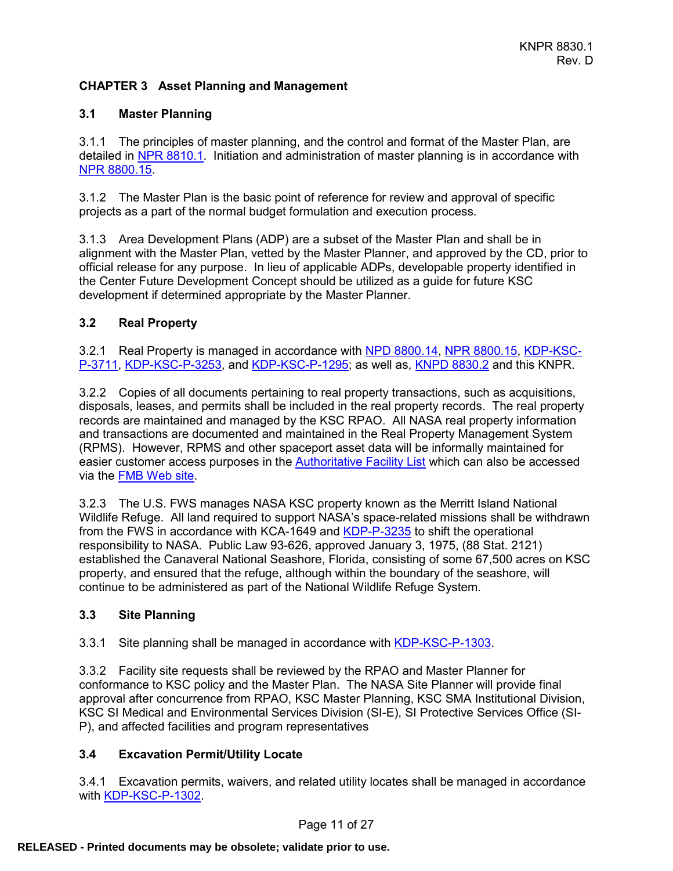## <span id="page-10-0"></span>**CHAPTER 3 Asset Planning and Management**

## <span id="page-10-1"></span>**3.1 Master Planning**

3.1.1 The principles of master planning, and the control and format of the Master Plan, are detailed in NPR [8810.1.](http://nodis3.gsfc.nasa.gov/lib_docs.cfm?range=8___) Initiation and administration of master planning is in accordance with [NPR 8800.15.](https://nodis3.gsfc.nasa.gov/displayDir.cfm?t=NPR&c=8800&s=15C)

3.1.2 The Master Plan is the basic point of reference for review and approval of specific projects as a part of the normal budget formulation and execution process.

3.1.3 Area Development Plans (ADP) are a subset of the Master Plan and shall be in alignment with the Master Plan, vetted by the Master Planner, and approved by the CD, prior to official release for any purpose. In lieu of applicable ADPs, developable property identified in the Center Future Development Concept should be utilized as a guide for future KSC development if determined appropriate by the Master Planner.

## <span id="page-10-2"></span>**3.2 Real Property**

3.2.1 Real Property is managed in accordance with [NPD 8800.14,](http://nodis3.gsfc.nasa.gov/lib_docs.cfm?range=8___) [NPR 8800.15,](http://nodis3.gsfc.nasa.gov/lib_docs.cfm?range=8___) [KDP-KSC-](https://tdksc.ksc.nasa.gov/servlet/dm.web.Fetch/kdp-ksc-p-3711.pdf?doc=kdp-ksc-p-3711&rev=$latest)[P-3711,](https://tdksc.ksc.nasa.gov/servlet/dm.web.Fetch/kdp-ksc-p-3711.pdf?doc=kdp-ksc-p-3711&rev=$latest) [KDP-KSC-P-3253,](https://tdksc.ksc.nasa.gov/servlet/dm.web.Fetch/kdp-ksc-p-3253.pdf?doc=kdp-ksc-p-3253&rev=$latest) and [KDP-KSC-P-1295;](https://tdksc.ksc.nasa.gov/servlet/dm.web.Fetch/kdp-ksc-p-1295.pdf?doc=kdp-ksc-p-1295&rev=$latest) as well as, [KNPD 8830.2](https://tdksc.ksc.nasa.gov/servlet/dm.web.Fetch/knpd_8830.2.pdf?doc=knpd_8830.2&rev=$latest) and this KNPR.

3.2.2 Copies of all documents pertaining to real property transactions, such as acquisitions, disposals, leases, and permits shall be included in the real property records. The real property records are maintained and managed by the KSC RPAO. All NASA real property information and transactions are documented and maintained in the Real Property Management System (RPMS). However, RPMS and other spaceport asset data will be informally maintained for easier customer access purposes in the [Authoritative Facility List](https://tdksc.ksc.nasa.gov/servlet/dm.web.Fetch?did=37816&rev=$latest) which can also be accessed via the [FMB Web](https://fmb.ksc.nasa.gov/) site.

3.2.3 The U.S. FWS manages NASA KSC property known as the Merritt Island National Wildlife Refuge. All land required to support NASA's space-related missions shall be withdrawn from the FWS in accordance with KCA-1649 and [KDP-P-3235](https://tdksc.ksc.nasa.gov/servlet/dm.web.Fetch?did=8521&rev=$latest) to shift the operational responsibility to NASA. Public Law 93-626, approved January 3, 1975, (88 Stat. 2121) established the Canaveral National Seashore, Florida, consisting of some 67,500 acres on KSC property, and ensured that the refuge, although within the boundary of the seashore, will continue to be administered as part of the National Wildlife Refuge System.

#### <span id="page-10-3"></span>**3.3 Site Planning**

3.3.1 Site planning shall be managed in accordance with [KDP-KSC-P-1303.](https://tdksc.ksc.nasa.gov/servlet/dm.web.Fetch/kdp-ksc-p-1303.pdf?doc=kdp-ksc-p-1303&rev=$latest)

3.3.2 Facility site requests shall be reviewed by the RPAO and Master Planner for conformance to KSC policy and the Master Plan. The NASA Site Planner will provide final approval after concurrence from RPAO, KSC Master Planning, KSC SMA Institutional Division, KSC SI Medical and Environmental Services Division (SI-E), SI Protective Services Office (SI-P), and affected facilities and program representatives

#### <span id="page-10-4"></span>**3.4 Excavation Permit/Utility Locate**

3.4.1 Excavation permits, waivers, and related utility locates shall be managed in accordance with [KDP-KSC-P-1302.](https://tdksc.ksc.nasa.gov/servlet/dm.web.Fetch?did=986147&rev=$latest)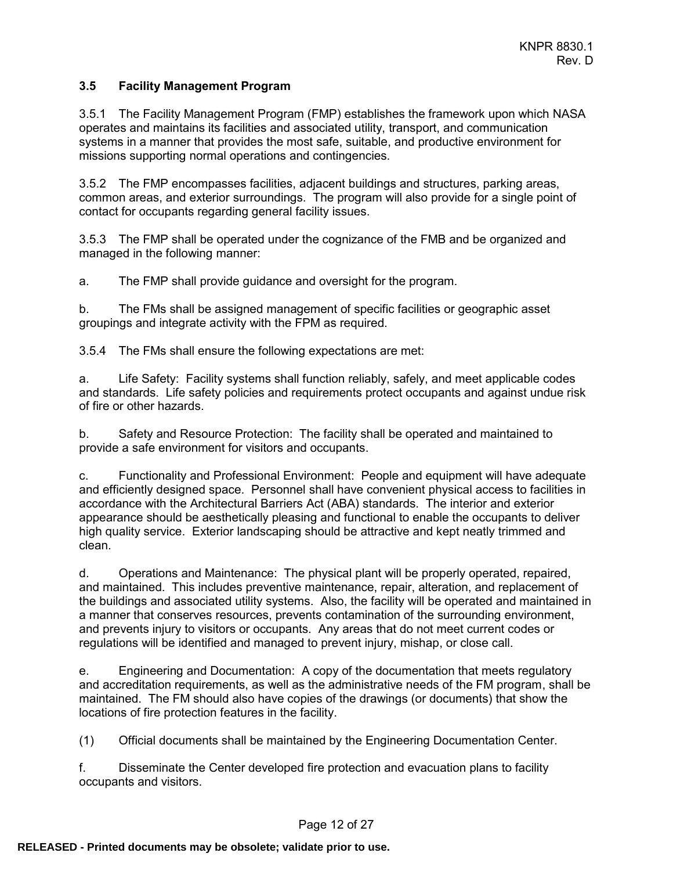## <span id="page-11-0"></span>**3.5 Facility Management Program**

3.5.1 The Facility Management Program (FMP) establishes the framework upon which NASA operates and maintains its facilities and associated utility, transport, and communication systems in a manner that provides the most safe, suitable, and productive environment for missions supporting normal operations and contingencies.

3.5.2 The FMP encompasses facilities, adjacent buildings and structures, parking areas, common areas, and exterior surroundings. The program will also provide for a single point of contact for occupants regarding general facility issues.

3.5.3 The FMP shall be operated under the cognizance of the FMB and be organized and managed in the following manner:

a. The FMP shall provide guidance and oversight for the program.

b. The FMs shall be assigned management of specific facilities or geographic asset groupings and integrate activity with the FPM as required.

3.5.4 The FMs shall ensure the following expectations are met:

a. Life Safety: Facility systems shall function reliably, safely, and meet applicable codes and standards. Life safety policies and requirements protect occupants and against undue risk of fire or other hazards.

b. Safety and Resource Protection: The facility shall be operated and maintained to provide a safe environment for visitors and occupants.

c. Functionality and Professional Environment: People and equipment will have adequate and efficiently designed space. Personnel shall have convenient physical access to facilities in accordance with the Architectural Barriers Act (ABA) standards. The interior and exterior appearance should be aesthetically pleasing and functional to enable the occupants to deliver high quality service. Exterior landscaping should be attractive and kept neatly trimmed and clean.

d. Operations and Maintenance: The physical plant will be properly operated, repaired, and maintained. This includes preventive maintenance, repair, alteration, and replacement of the buildings and associated utility systems. Also, the facility will be operated and maintained in a manner that conserves resources, prevents contamination of the surrounding environment, and prevents injury to visitors or occupants. Any areas that do not meet current codes or regulations will be identified and managed to prevent injury, mishap, or close call.

e. Engineering and Documentation: A copy of the documentation that meets regulatory and accreditation requirements, as well as the administrative needs of the FM program, shall be maintained. The FM should also have copies of the drawings (or documents) that show the locations of fire protection features in the facility.

(1) Official documents shall be maintained by the Engineering Documentation Center.

f. Disseminate the Center developed fire protection and evacuation plans to facility occupants and visitors.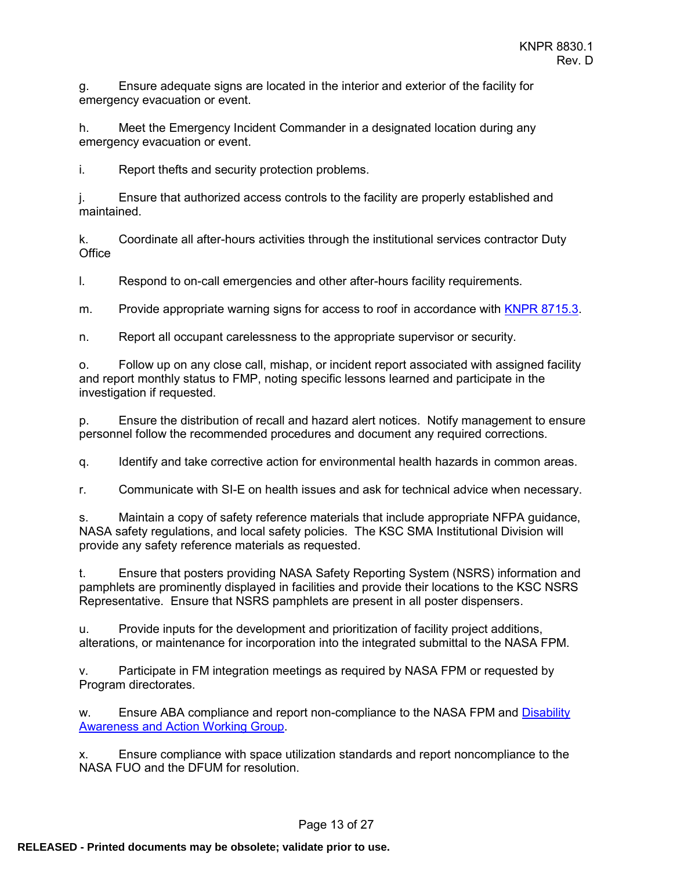g. Ensure adequate signs are located in the interior and exterior of the facility for emergency evacuation or event.

h. Meet the Emergency Incident Commander in a designated location during any emergency evacuation or event.

i. Report thefts and security protection problems.

j. Ensure that authorized access controls to the facility are properly established and maintained.

k. Coordinate all after-hours activities through the institutional services contractor Duty **Office** 

l. Respond to on-call emergencies and other after-hours facility requirements.

m. Provide appropriate warning signs for access to roof in accordance with [KNPR 8715.3.](https://tdksc.ksc.nasa.gov/servlet/dm.web.Fetch?did=7261&rev=$latest)

n. Report all occupant carelessness to the appropriate supervisor or security.

o. Follow up on any close call, mishap, or incident report associated with assigned facility and report monthly status to FMP, noting specific lessons learned and participate in the investigation if requested.

p. Ensure the distribution of recall and hazard alert notices. Notify management to ensure personnel follow the recommended procedures and document any required corrections.

q. Identify and take corrective action for environmental health hazards in common areas.

r. Communicate with SI-E on health issues and ask for technical advice when necessary.

s. Maintain a copy of safety reference materials that include appropriate NFPA guidance, NASA safety regulations, and local safety policies. The KSC SMA Institutional Division will provide any safety reference materials as requested.

t. Ensure that posters providing NASA Safety Reporting System (NSRS) information and pamphlets are prominently displayed in facilities and provide their locations to the KSC NSRS Representative. Ensure that NSRS pamphlets are present in all poster dispensers.

u. Provide inputs for the development and prioritization of facility project additions, alterations, or maintenance for incorporation into the integrated submittal to the NASA FPM.

v. Participate in FM integration meetings as required by NASA FPM or requested by Program directorates.

w. Ensure ABA compliance and report non-compliance to the NASA FPM and Disability [Awareness and Action Working Group.](https://daawg.ksc.nasa.gov/)

x. Ensure compliance with space utilization standards and report noncompliance to the NASA FUO and the DFUM for resolution.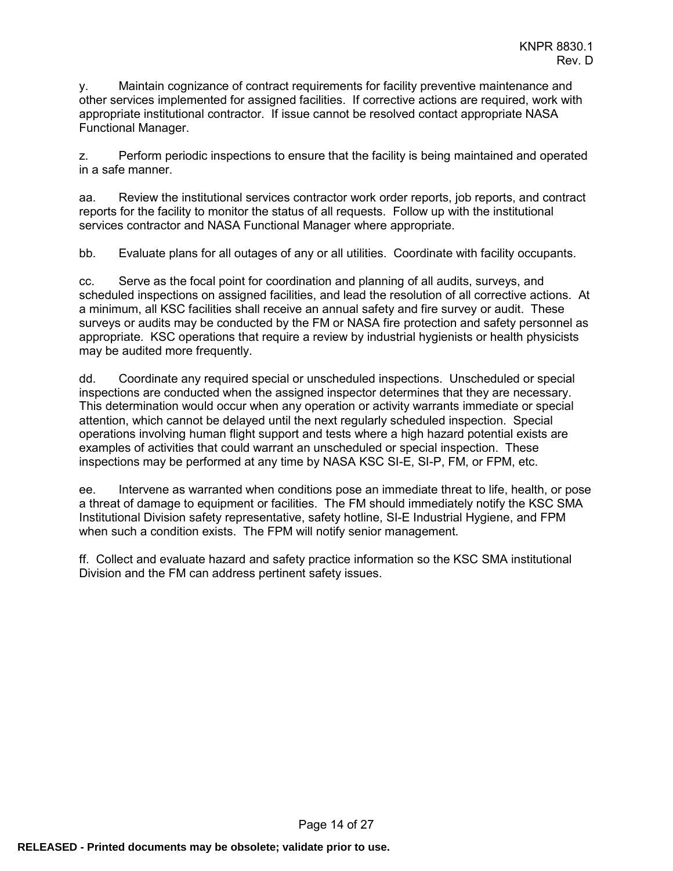y. Maintain cognizance of contract requirements for facility preventive maintenance and other services implemented for assigned facilities. If corrective actions are required, work with appropriate institutional contractor. If issue cannot be resolved contact appropriate NASA Functional Manager.

z. Perform periodic inspections to ensure that the facility is being maintained and operated in a safe manner.

aa. Review the institutional services contractor work order reports, job reports, and contract reports for the facility to monitor the status of all requests. Follow up with the institutional services contractor and NASA Functional Manager where appropriate.

bb. Evaluate plans for all outages of any or all utilities. Coordinate with facility occupants.

cc. Serve as the focal point for coordination and planning of all audits, surveys, and scheduled inspections on assigned facilities, and lead the resolution of all corrective actions. At a minimum, all KSC facilities shall receive an annual safety and fire survey or audit. These surveys or audits may be conducted by the FM or NASA fire protection and safety personnel as appropriate. KSC operations that require a review by industrial hygienists or health physicists may be audited more frequently.

dd. Coordinate any required special or unscheduled inspections. Unscheduled or special inspections are conducted when the assigned inspector determines that they are necessary. This determination would occur when any operation or activity warrants immediate or special attention, which cannot be delayed until the next regularly scheduled inspection. Special operations involving human flight support and tests where a high hazard potential exists are examples of activities that could warrant an unscheduled or special inspection. These inspections may be performed at any time by NASA KSC SI-E, SI-P, FM, or FPM, etc.

ee. Intervene as warranted when conditions pose an immediate threat to life, health, or pose a threat of damage to equipment or facilities. The FM should immediately notify the KSC SMA Institutional Division safety representative, safety hotline, SI-E Industrial Hygiene, and FPM when such a condition exists. The FPM will notify senior management.

ff. Collect and evaluate hazard and safety practice information so the KSC SMA institutional Division and the FM can address pertinent safety issues.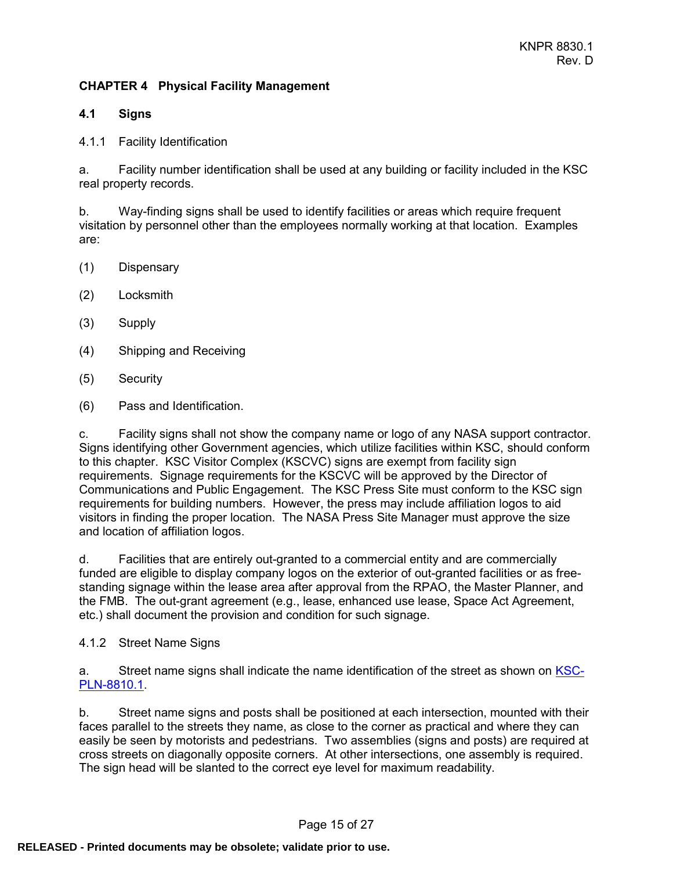## <span id="page-14-0"></span>**CHAPTER 4 Physical Facility Management**

#### <span id="page-14-1"></span>**4.1 Signs**

#### 4.1.1 Facility Identification

a. Facility number identification shall be used at any building or facility included in the KSC real property records.

b. Way-finding signs shall be used to identify facilities or areas which require frequent visitation by personnel other than the employees normally working at that location. Examples are:

- (1) Dispensary
- (2) Locksmith
- (3) Supply
- (4) Shipping and Receiving
- (5) Security
- (6) Pass and Identification.

c. Facility signs shall not show the company name or logo of any NASA support contractor. Signs identifying other Government agencies, which utilize facilities within KSC, should conform to this chapter. KSC Visitor Complex (KSCVC) signs are exempt from facility sign requirements. Signage requirements for the KSCVC will be approved by the Director of Communications and Public Engagement. The KSC Press Site must conform to the KSC sign requirements for building numbers. However, the press may include affiliation logos to aid visitors in finding the proper location. The NASA Press Site Manager must approve the size and location of affiliation logos.

d. Facilities that are entirely out-granted to a commercial entity and are commercially funded are eligible to display company logos on the exterior of out-granted facilities or as freestanding signage within the lease area after approval from the RPAO, the Master Planner, and the FMB. The out-grant agreement (e.g., lease, enhanced use lease, Space Act Agreement, etc.) shall document the provision and condition for such signage.

4.1.2 Street Name Signs

a. Street name signs shall indicate the name identification of the street as shown on [KSC-](http://masterplan.ksc.nasa.gov/)[PLN-8810.1.](http://masterplan.ksc.nasa.gov/)

b. Street name signs and posts shall be positioned at each intersection, mounted with their faces parallel to the streets they name, as close to the corner as practical and where they can easily be seen by motorists and pedestrians. Two assemblies (signs and posts) are required at cross streets on diagonally opposite corners. At other intersections, one assembly is required. The sign head will be slanted to the correct eye level for maximum readability.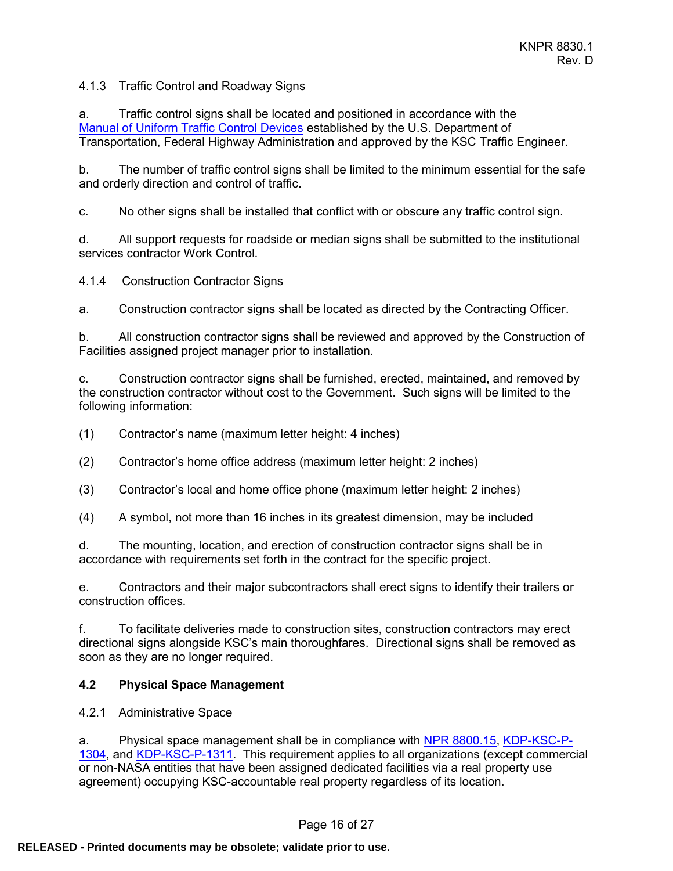4.1.3 Traffic Control and Roadway Signs

a. Traffic control signs shall be located and positioned in accordance with the [Manual of Uniform Traffic Control Devices](http://mutcd.fhwa.dot.gov/) established by the U.S. Department of Transportation, Federal Highway Administration and approved by the KSC Traffic Engineer.

b. The number of traffic control signs shall be limited to the minimum essential for the safe and orderly direction and control of traffic.

c. No other signs shall be installed that conflict with or obscure any traffic control sign.

d. All support requests for roadside or median signs shall be submitted to the institutional services contractor Work Control.

4.1.4 Construction Contractor Signs

a. Construction contractor signs shall be located as directed by the Contracting Officer.

b. All construction contractor signs shall be reviewed and approved by the Construction of Facilities assigned project manager prior to installation.

c. Construction contractor signs shall be furnished, erected, maintained, and removed by the construction contractor without cost to the Government. Such signs will be limited to the following information:

(1) Contractor's name (maximum letter height: 4 inches)

- (2) Contractor's home office address (maximum letter height: 2 inches)
- (3) Contractor's local and home office phone (maximum letter height: 2 inches)
- (4) A symbol, not more than 16 inches in its greatest dimension, may be included

d. The mounting, location, and erection of construction contractor signs shall be in accordance with requirements set forth in the contract for the specific project.

e. Contractors and their major subcontractors shall erect signs to identify their trailers or construction offices.

f. To facilitate deliveries made to construction sites, construction contractors may erect directional signs alongside KSC's main thoroughfares. Directional signs shall be removed as soon as they are no longer required.

#### <span id="page-15-0"></span>**4.2 Physical Space Management**

4.2.1 Administrative Space

a. Physical space management shall be in compliance with [NPR 8800.15,](http://nodis3.gsfc.nasa.gov/lib_docs.cfm?range=8___) [KDP-KSC-P-](https://tdksc.ksc.nasa.gov/servlet/dm.web.Fetch/kdp-ksc-p-1304.pdf?doc=kdp-ksc-p-1304&rev=$latest)[1304,](https://tdksc.ksc.nasa.gov/servlet/dm.web.Fetch/kdp-ksc-p-1304.pdf?doc=kdp-ksc-p-1304&rev=$latest) and [KDP-KSC-P-1311.](https://tdksc.ksc.nasa.gov/servlet/dm.web.Fetch/kdp-ksc-p-1311.pdf?doc=kdp-ksc-p-1311&rev=$latest) This requirement applies to all organizations (except commercial or non-NASA entities that have been assigned dedicated facilities via a real property use agreement) occupying KSC-accountable real property regardless of its location.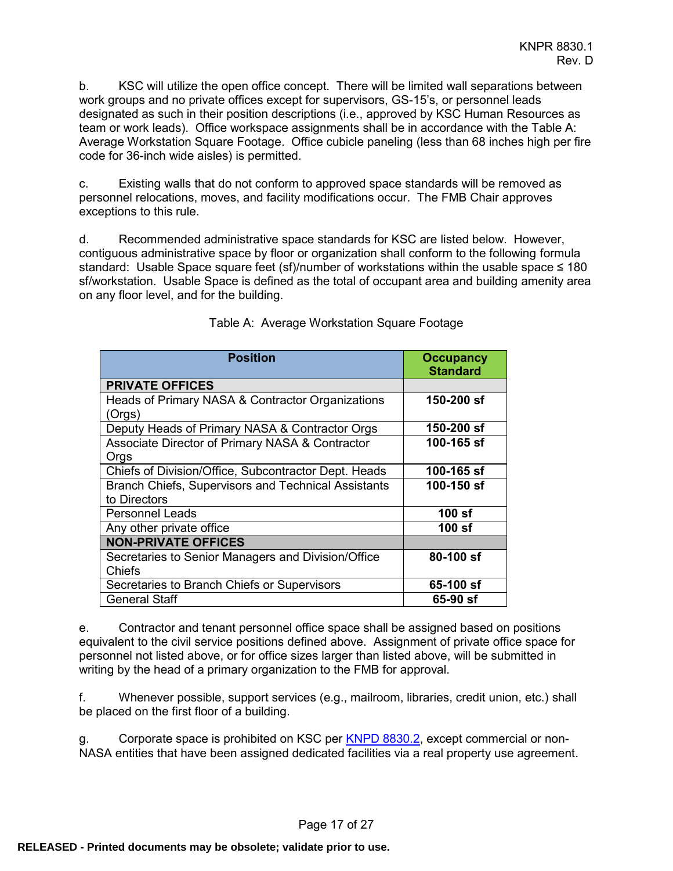b. KSC will utilize the open office concept. There will be limited wall separations between work groups and no private offices except for supervisors, GS-15's, or personnel leads designated as such in their position descriptions (i.e., approved by KSC Human Resources as team or work leads). Office workspace assignments shall be in accordance with the Table A: Average Workstation Square Footage. Office cubicle paneling (less than 68 inches high per fire code for 36-inch wide aisles) is permitted.

c. Existing walls that do not conform to approved space standards will be removed as personnel relocations, moves, and facility modifications occur. The FMB Chair approves exceptions to this rule.

d. Recommended administrative space standards for KSC are listed below. However, contiguous administrative space by floor or organization shall conform to the following formula standard: Usable Space square feet (sf)/number of workstations within the usable space ≤ 180 sf/workstation. Usable Space is defined as the total of occupant area and building amenity area on any floor level, and for the building.

| <b>Position</b>                                                            | <b>Occupancy</b><br><b>Standard</b> |
|----------------------------------------------------------------------------|-------------------------------------|
| <b>PRIVATE OFFICES</b>                                                     |                                     |
| Heads of Primary NASA & Contractor Organizations<br>(Orgs)                 | 150-200 sf                          |
| Deputy Heads of Primary NASA & Contractor Orgs                             | 150-200 sf                          |
| Associate Director of Primary NASA & Contractor<br>Orgs                    | 100-165 sf                          |
| Chiefs of Division/Office, Subcontractor Dept. Heads                       | 100-165 sf                          |
| <b>Branch Chiefs, Supervisors and Technical Assistants</b><br>to Directors | 100-150 sf                          |
| <b>Personnel Leads</b>                                                     | 100 sf                              |
| Any other private office                                                   | 100 sf                              |
| <b>NON-PRIVATE OFFICES</b>                                                 |                                     |
| Secretaries to Senior Managers and Division/Office<br>Chiefs               | 80-100 sf                           |
| Secretaries to Branch Chiefs or Supervisors                                | 65-100 sf                           |
| <b>General Staff</b>                                                       | 65-90 sf                            |

## Table A: Average Workstation Square Footage

e. Contractor and tenant personnel office space shall be assigned based on positions equivalent to the civil service positions defined above. Assignment of private office space for personnel not listed above, or for office sizes larger than listed above, will be submitted in writing by the head of a primary organization to the FMB for approval.

f. Whenever possible, support services (e.g., mailroom, libraries, credit union, etc.) shall be placed on the first floor of a building.

Corporate space is prohibited on KSC per [KNPD 8830.2,](https://tdksc.ksc.nasa.gov/servlet/dm.web.Fetch/knpd_8830.2.pdf?doc=knpd_8830.2&rev=$latest) except commercial or non-NASA entities that have been assigned dedicated facilities via a real property use agreement.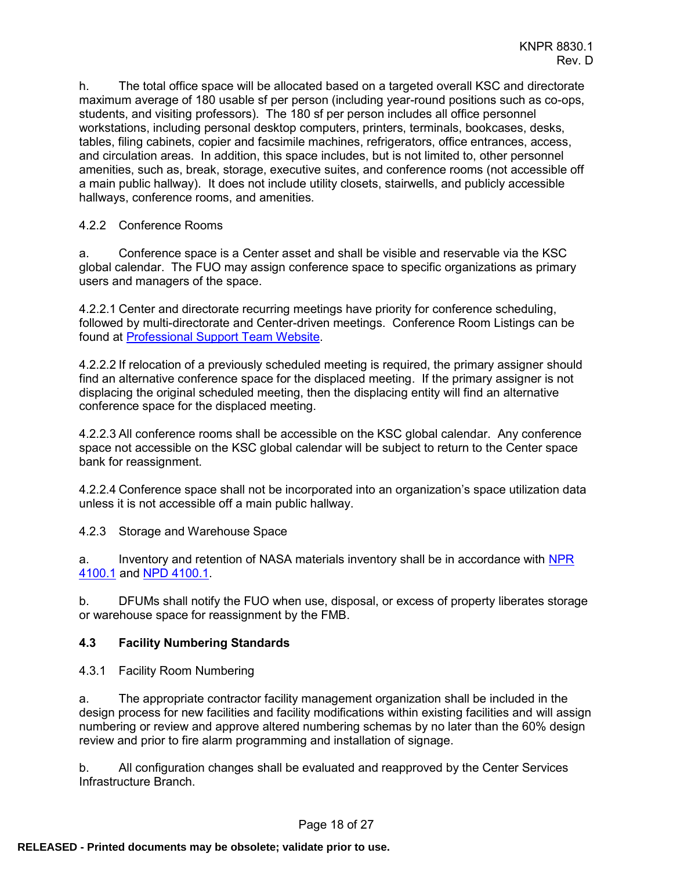h. The total office space will be allocated based on a targeted overall KSC and directorate maximum average of 180 usable sf per person (including year-round positions such as co-ops, students, and visiting professors). The 180 sf per person includes all office personnel workstations, including personal desktop computers, printers, terminals, bookcases, desks, tables, filing cabinets, copier and facsimile machines, refrigerators, office entrances, access, and circulation areas. In addition, this space includes, but is not limited to, other personnel amenities, such as, break, storage, executive suites, and conference rooms (not accessible off a main public hallway). It does not include utility closets, stairwells, and publicly accessible hallways, conference rooms, and amenities.

## 4.2.2 Conference Rooms

a. Conference space is a Center asset and shall be visible and reservable via the KSC global calendar. The FUO may assign conference space to specific organizations as primary users and managers of the space.

4.2.2.1 Center and directorate recurring meetings have priority for conference scheduling, followed by multi-directorate and Center-driven meetings. Conference Room Listings can be found at [Professional Support Team](https://pst.ksc.nasa.gov/) Website.

4.2.2.2 If relocation of a previously scheduled meeting is required, the primary assigner should find an alternative conference space for the displaced meeting. If the primary assigner is not displacing the original scheduled meeting, then the displacing entity will find an alternative conference space for the displaced meeting.

4.2.2.3 All conference rooms shall be accessible on the KSC global calendar. Any conference space not accessible on the KSC global calendar will be subject to return to the Center space bank for reassignment.

4.2.2.4 Conference space shall not be incorporated into an organization's space utilization data unless it is not accessible off a main public hallway.

4.2.3 Storage and Warehouse Space

a. Inventory and retention of NASA materials inventory shall be in accordance with [NPR](https://nodis3.gsfc.nasa.gov/displayDir.cfm?t=NPR&c=4100&s=1F)  [4100.1](https://nodis3.gsfc.nasa.gov/displayDir.cfm?t=NPR&c=4100&s=1F) and [NPD 4100.1.](https://nodis3.gsfc.nasa.gov/displayDir.cfm?t=NPD&c=4100&s=1C)

b. DFUMs shall notify the FUO when use, disposal, or excess of property liberates storage or warehouse space for reassignment by the FMB.

## <span id="page-17-0"></span>**4.3 Facility Numbering Standards**

4.3.1 Facility Room Numbering

a. The appropriate contractor facility management organization shall be included in the design process for new facilities and facility modifications within existing facilities and will assign numbering or review and approve altered numbering schemas by no later than the 60% design review and prior to fire alarm programming and installation of signage.

b. All configuration changes shall be evaluated and reapproved by the Center Services Infrastructure Branch.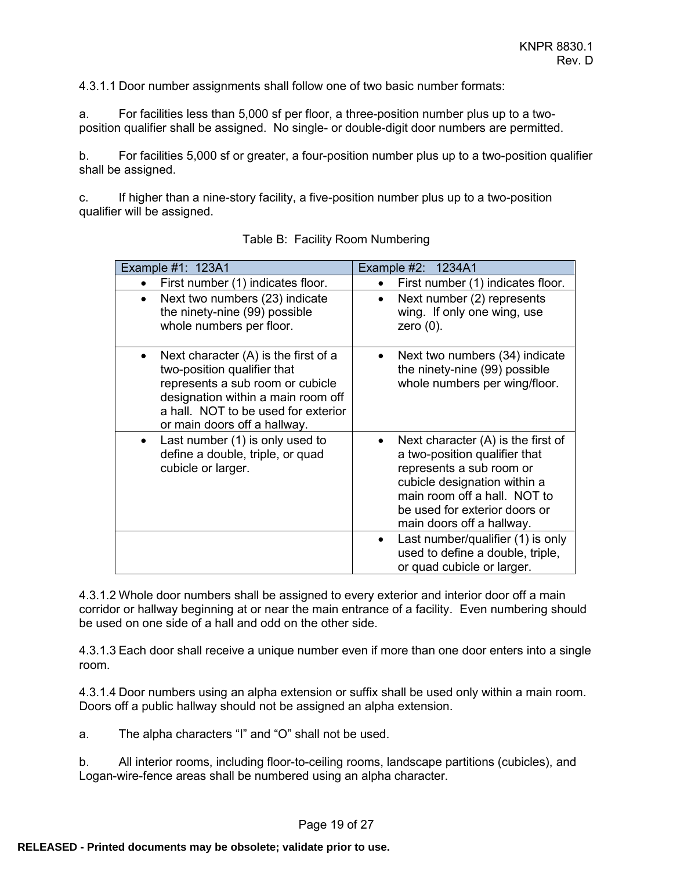4.3.1.1 Door number assignments shall follow one of two basic number formats:

a. For facilities less than 5,000 sf per floor, a three-position number plus up to a twoposition qualifier shall be assigned. No single- or double-digit door numbers are permitted.

b. For facilities 5,000 sf or greater, a four-position number plus up to a two-position qualifier shall be assigned.

c. If higher than a nine-story facility, a five-position number plus up to a two-position qualifier will be assigned.

| Example #1: 123A1                                                                                                                                                                                                                 | Example #2: 1234A1                                                                                                                                                                                                              |  |  |
|-----------------------------------------------------------------------------------------------------------------------------------------------------------------------------------------------------------------------------------|---------------------------------------------------------------------------------------------------------------------------------------------------------------------------------------------------------------------------------|--|--|
| First number (1) indicates floor.<br>$\bullet$                                                                                                                                                                                    | First number (1) indicates floor.                                                                                                                                                                                               |  |  |
| Next two numbers (23) indicate<br>$\bullet$<br>the ninety-nine (99) possible<br>whole numbers per floor.                                                                                                                          | Next number (2) represents<br>wing. If only one wing, use<br>zero $(0)$ .                                                                                                                                                       |  |  |
| Next character (A) is the first of a<br>$\bullet$<br>two-position qualifier that<br>represents a sub room or cubicle<br>designation within a main room off<br>a hall. NOT to be used for exterior<br>or main doors off a hallway. | Next two numbers (34) indicate<br>the ninety-nine (99) possible<br>whole numbers per wing/floor.                                                                                                                                |  |  |
| Last number (1) is only used to<br>$\bullet$<br>define a double, triple, or quad<br>cubicle or larger.                                                                                                                            | Next character $(A)$ is the first of<br>a two-position qualifier that<br>represents a sub room or<br>cubicle designation within a<br>main room off a hall. NOT to<br>be used for exterior doors or<br>main doors off a hallway. |  |  |
|                                                                                                                                                                                                                                   | Last number/qualifier (1) is only<br>$\bullet$<br>used to define a double, triple,<br>or quad cubicle or larger.                                                                                                                |  |  |

| Table B: Facility Room Numbering |  |  |
|----------------------------------|--|--|
|                                  |  |  |

4.3.1.2 Whole door numbers shall be assigned to every exterior and interior door off a main corridor or hallway beginning at or near the main entrance of a facility. Even numbering should be used on one side of a hall and odd on the other side.

4.3.1.3 Each door shall receive a unique number even if more than one door enters into a single room.

4.3.1.4 Door numbers using an alpha extension or suffix shall be used only within a main room. Doors off a public hallway should not be assigned an alpha extension.

a. The alpha characters "I" and "O" shall not be used.

b. All interior rooms, including floor-to-ceiling rooms, landscape partitions (cubicles), and Logan-wire-fence areas shall be numbered using an alpha character.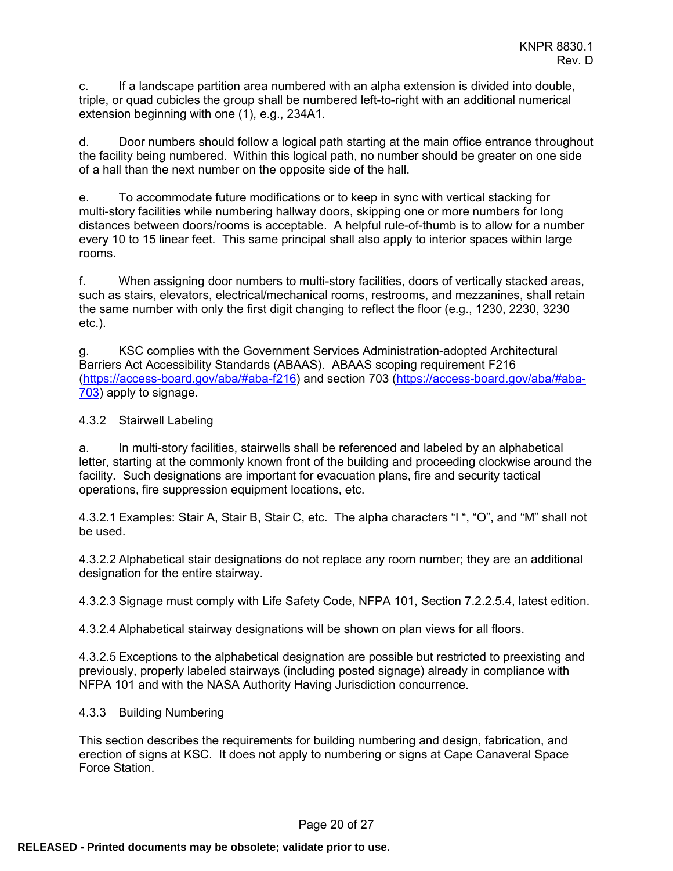c. If a landscape partition area numbered with an alpha extension is divided into double, triple, or quad cubicles the group shall be numbered left-to-right with an additional numerical extension beginning with one (1), e.g., 234A1.

d. Door numbers should follow a logical path starting at the main office entrance throughout the facility being numbered. Within this logical path, no number should be greater on one side of a hall than the next number on the opposite side of the hall.

e. To accommodate future modifications or to keep in sync with vertical stacking for multi-story facilities while numbering hallway doors, skipping one or more numbers for long distances between doors/rooms is acceptable. A helpful rule-of-thumb is to allow for a number every 10 to 15 linear feet. This same principal shall also apply to interior spaces within large rooms.

f. When assigning door numbers to multi-story facilities, doors of vertically stacked areas, such as stairs, elevators, electrical/mechanical rooms, restrooms, and mezzanines, shall retain the same number with only the first digit changing to reflect the floor (e.g., 1230, 2230, 3230 etc.).

g. KSC complies with the Government Services Administration-adopted Architectural Barriers Act Accessibility Standards (ABAAS). ABAAS scoping requirement F216 [\(https://access-board.gov/aba/#aba-f216\)](https://access-board.gov/aba/#aba-f216) and section 703 [\(https://access-board.gov/aba/#aba-](https://access-board.gov/aba/#aba-703)[703\)](https://access-board.gov/aba/#aba-703) apply to signage.

4.3.2 Stairwell Labeling

a. In multi-story facilities, stairwells shall be referenced and labeled by an alphabetical letter, starting at the commonly known front of the building and proceeding clockwise around the facility. Such designations are important for evacuation plans, fire and security tactical operations, fire suppression equipment locations, etc.

4.3.2.1 Examples: Stair A, Stair B, Stair C, etc. The alpha characters "I ", "O", and "M" shall not be used.

4.3.2.2 Alphabetical stair designations do not replace any room number; they are an additional designation for the entire stairway.

4.3.2.3 Signage must comply with Life Safety Code, NFPA 101, Section 7.2.2.5.4, latest edition.

4.3.2.4 Alphabetical stairway designations will be shown on plan views for all floors.

4.3.2.5 Exceptions to the alphabetical designation are possible but restricted to preexisting and previously, properly labeled stairways (including posted signage) already in compliance with NFPA 101 and with the NASA Authority Having Jurisdiction concurrence.

#### 4.3.3 Building Numbering

This section describes the requirements for building numbering and design, fabrication, and erection of signs at KSC. It does not apply to numbering or signs at Cape Canaveral Space Force Station.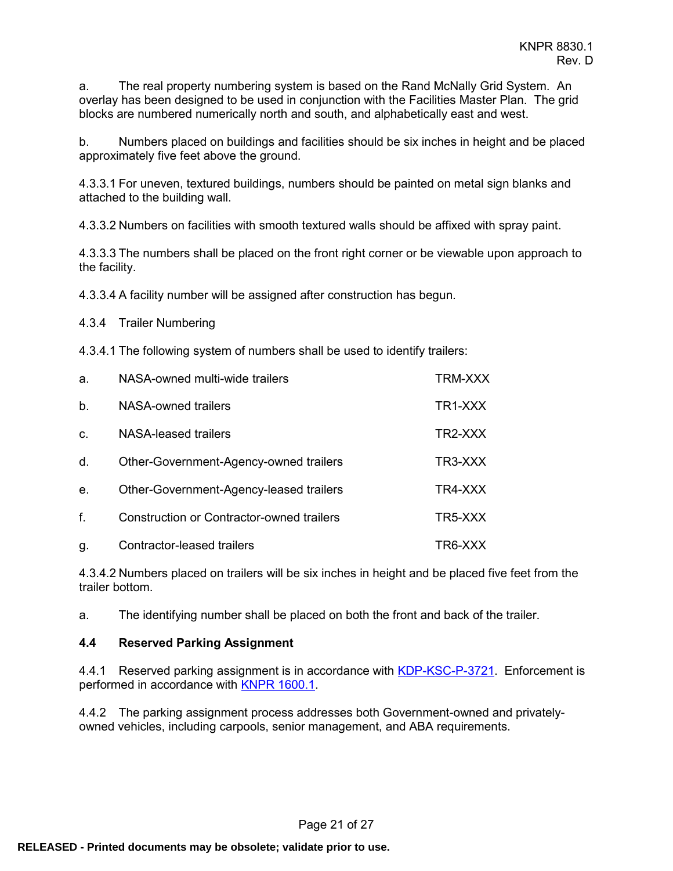a. The real property numbering system is based on the Rand McNally Grid System. An overlay has been designed to be used in conjunction with the Facilities Master Plan. The grid blocks are numbered numerically north and south, and alphabetically east and west.

b. Numbers placed on buildings and facilities should be six inches in height and be placed approximately five feet above the ground.

4.3.3.1 For uneven, textured buildings, numbers should be painted on metal sign blanks and attached to the building wall.

4.3.3.2 Numbers on facilities with smooth textured walls should be affixed with spray paint.

4.3.3.3 The numbers shall be placed on the front right corner or be viewable upon approach to the facility.

4.3.3.4 A facility number will be assigned after construction has begun.

4.3.4 Trailer Numbering

4.3.4.1 The following system of numbers shall be used to identify trailers:

| a.             | NASA-owned multi-wide trailers            | TRM-XXX |
|----------------|-------------------------------------------|---------|
| b.             | NASA-owned trailers                       | TR1-XXX |
| C.             | NASA-leased trailers                      | TR2-XXX |
| d.             | Other-Government-Agency-owned trailers    | TR3-XXX |
| e <sub>1</sub> | Other-Government-Agency-leased trailers   | TR4-XXX |
| f.             | Construction or Contractor-owned trailers | TR5-XXX |
| g.             | Contractor-leased trailers                | TR6-XXX |

4.3.4.2 Numbers placed on trailers will be six inches in height and be placed five feet from the trailer bottom.

a. The identifying number shall be placed on both the front and back of the trailer.

#### <span id="page-20-0"></span>**4.4 Reserved Parking Assignment**

4.4.1 Reserved parking assignment is in accordance with [KDP-KSC-P-3721.](https://tdksc.ksc.nasa.gov/servlet/dm.web.Fetch/kdp-ksc-p-3721.pdf?doc=kdp-ksc-p-3721&rev=$latest) Enforcement is performed in accordance with [KNPR 1600.1.](https://tdksc.ksc.nasa.gov/servlet/dm.web.Fetch/knpr_1600.1.pdf?doc=knpr_1600.1&rev=$latest)

4.4.2 The parking assignment process addresses both Government-owned and privatelyowned vehicles, including carpools, senior management, and ABA requirements.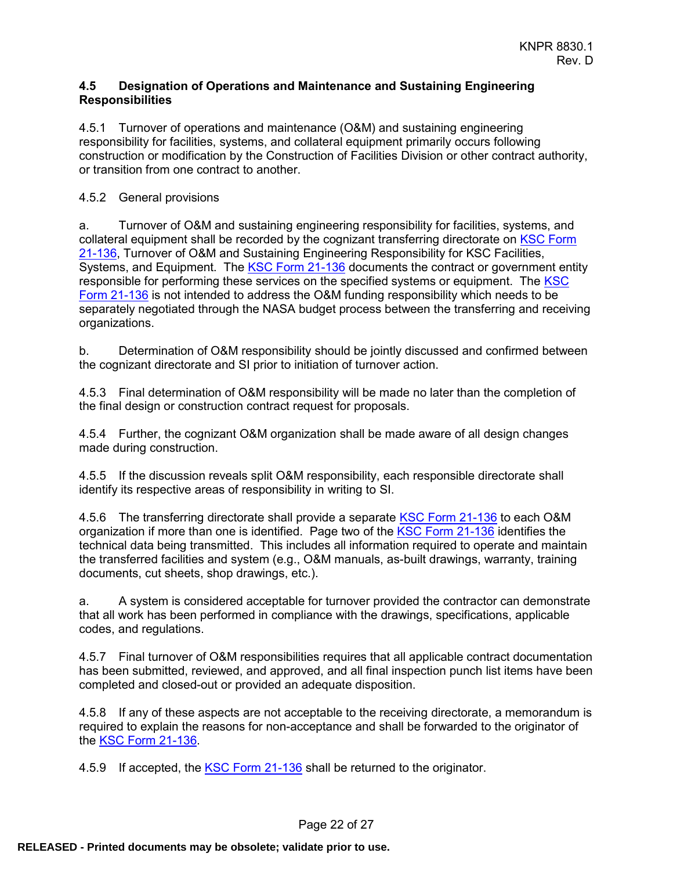#### <span id="page-21-0"></span>**4.5 Designation of Operations and Maintenance and Sustaining Engineering Responsibilities**

4.5.1 Turnover of operations and maintenance (O&M) and sustaining engineering responsibility for facilities, systems, and collateral equipment primarily occurs following construction or modification by the Construction of Facilities Division or other contract authority, or transition from one contract to another.

## 4.5.2 General provisions

a. Turnover of O&M and sustaining engineering responsibility for facilities, systems, and collateral equipment shall be recorded by the cognizant transferring directorate on [KSC Form](https://nef.nasa.gov/search?query=21-136¢er=7¢er=1)  [21-136,](https://nef.nasa.gov/search?query=21-136¢er=7¢er=1) Turnover of O&M and Sustaining Engineering Responsibility for KSC Facilities, Systems, and Equipment. The [KSC Form 21-136](https://nef.nasa.gov/search?query=21-136¢er=7¢er=1) documents the contract or government entity responsible for performing these services on the specified systems or equipment. The  $KSC$ [Form 21-136](https://nef.nasa.gov/search?query=21-136¢er=7¢er=1) is not intended to address the O&M funding responsibility which needs to be separately negotiated through the NASA budget process between the transferring and receiving organizations.

b. Determination of O&M responsibility should be jointly discussed and confirmed between the cognizant directorate and SI prior to initiation of turnover action.

4.5.3 Final determination of O&M responsibility will be made no later than the completion of the final design or construction contract request for proposals.

4.5.4 Further, the cognizant O&M organization shall be made aware of all design changes made during construction.

4.5.5 If the discussion reveals split O&M responsibility, each responsible directorate shall identify its respective areas of responsibility in writing to SI.

4.5.6 The transferring directorate shall provide a separate [KSC Form 21-136](https://nef.nasa.gov/search?query=21-136¢er=7¢er=1) to each O&M organization if more than one is identified. Page two of the [KSC Form 21-136](https://nef.nasa.gov/search?query=21-136¢er=7¢er=1) identifies the technical data being transmitted. This includes all information required to operate and maintain the transferred facilities and system (e.g., O&M manuals, as-built drawings, warranty, training documents, cut sheets, shop drawings, etc.).

a. A system is considered acceptable for turnover provided the contractor can demonstrate that all work has been performed in compliance with the drawings, specifications, applicable codes, and regulations.

4.5.7 Final turnover of O&M responsibilities requires that all applicable contract documentation has been submitted, reviewed, and approved, and all final inspection punch list items have been completed and closed-out or provided an adequate disposition.

4.5.8 If any of these aspects are not acceptable to the receiving directorate, a memorandum is required to explain the reasons for non-acceptance and shall be forwarded to the originator of the [KSC Form 21-136.](https://nef.nasa.gov/search?query=21-136¢er=7¢er=1)

4.5.9 If accepted, the **KSC Form 21-136** shall be returned to the originator.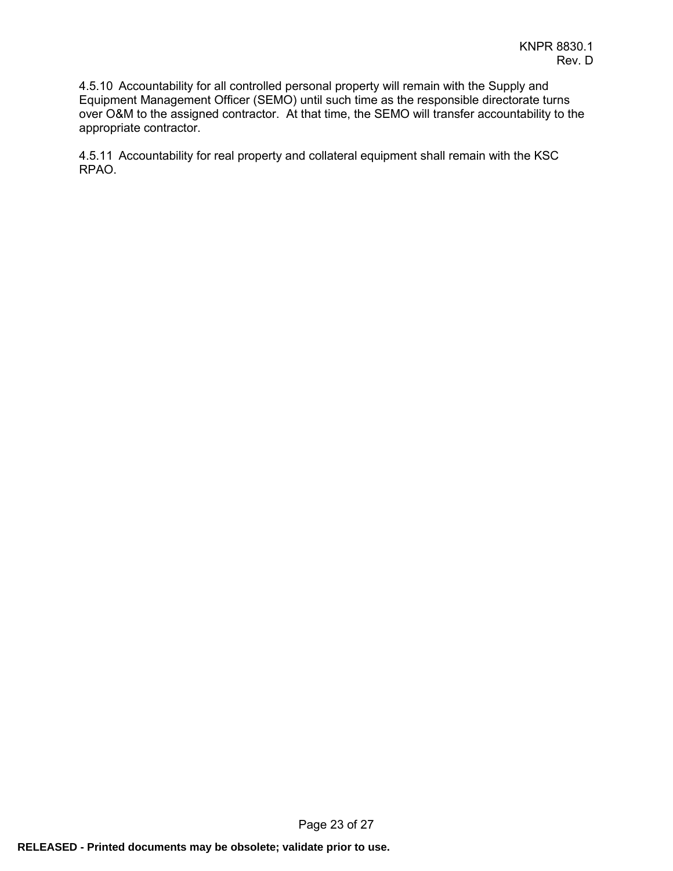4.5.10 Accountability for all controlled personal property will remain with the Supply and Equipment Management Officer (SEMO) until such time as the responsible directorate turns over O&M to the assigned contractor. At that time, the SEMO will transfer accountability to the appropriate contractor.

4.5.11 Accountability for real property and collateral equipment shall remain with the KSC RPAO.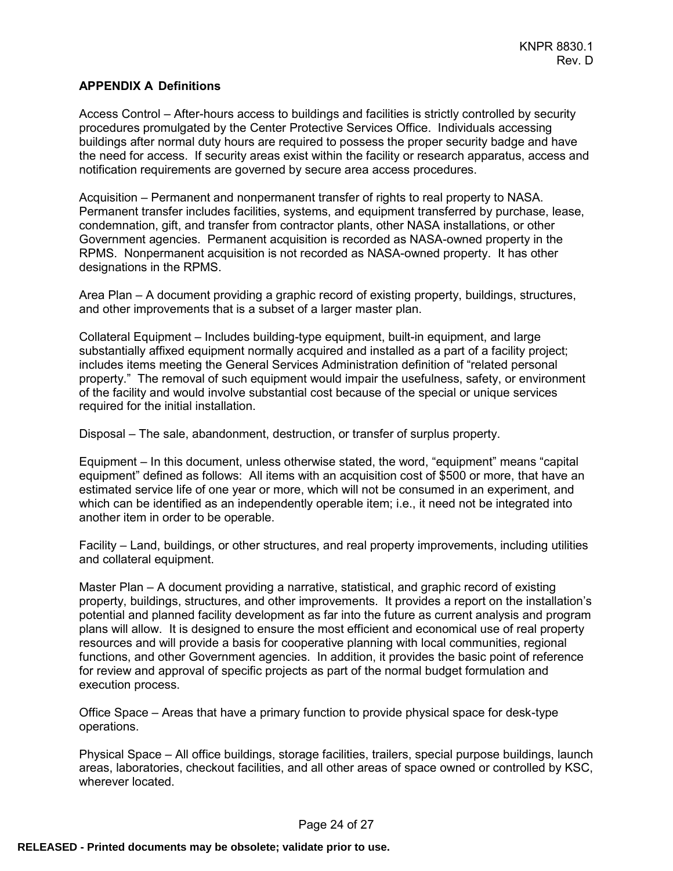#### <span id="page-23-0"></span>**APPENDIX A Definitions**

Access Control – After-hours access to buildings and facilities is strictly controlled by security procedures promulgated by the Center Protective Services Office. Individuals accessing buildings after normal duty hours are required to possess the proper security badge and have the need for access. If security areas exist within the facility or research apparatus, access and notification requirements are governed by secure area access procedures.

Acquisition – Permanent and nonpermanent transfer of rights to real property to NASA. Permanent transfer includes facilities, systems, and equipment transferred by purchase, lease, condemnation, gift, and transfer from contractor plants, other NASA installations, or other Government agencies. Permanent acquisition is recorded as NASA-owned property in the RPMS. Nonpermanent acquisition is not recorded as NASA-owned property. It has other designations in the RPMS.

Area Plan – A document providing a graphic record of existing property, buildings, structures, and other improvements that is a subset of a larger master plan.

Collateral Equipment – Includes building-type equipment, built-in equipment, and large substantially affixed equipment normally acquired and installed as a part of a facility project; includes items meeting the General Services Administration definition of "related personal property." The removal of such equipment would impair the usefulness, safety, or environment of the facility and would involve substantial cost because of the special or unique services required for the initial installation.

Disposal – The sale, abandonment, destruction, or transfer of surplus property.

Equipment – In this document, unless otherwise stated, the word, "equipment" means "capital equipment" defined as follows: All items with an acquisition cost of \$500 or more, that have an estimated service life of one year or more, which will not be consumed in an experiment, and which can be identified as an independently operable item; i.e., it need not be integrated into another item in order to be operable.

Facility – Land, buildings, or other structures, and real property improvements, including utilities and collateral equipment.

Master Plan – A document providing a narrative, statistical, and graphic record of existing property, buildings, structures, and other improvements. It provides a report on the installation's potential and planned facility development as far into the future as current analysis and program plans will allow. It is designed to ensure the most efficient and economical use of real property resources and will provide a basis for cooperative planning with local communities, regional functions, and other Government agencies. In addition, it provides the basic point of reference for review and approval of specific projects as part of the normal budget formulation and execution process.

Office Space – Areas that have a primary function to provide physical space for desk-type operations.

Physical Space – All office buildings, storage facilities, trailers, special purpose buildings, launch areas, laboratories, checkout facilities, and all other areas of space owned or controlled by KSC, wherever located.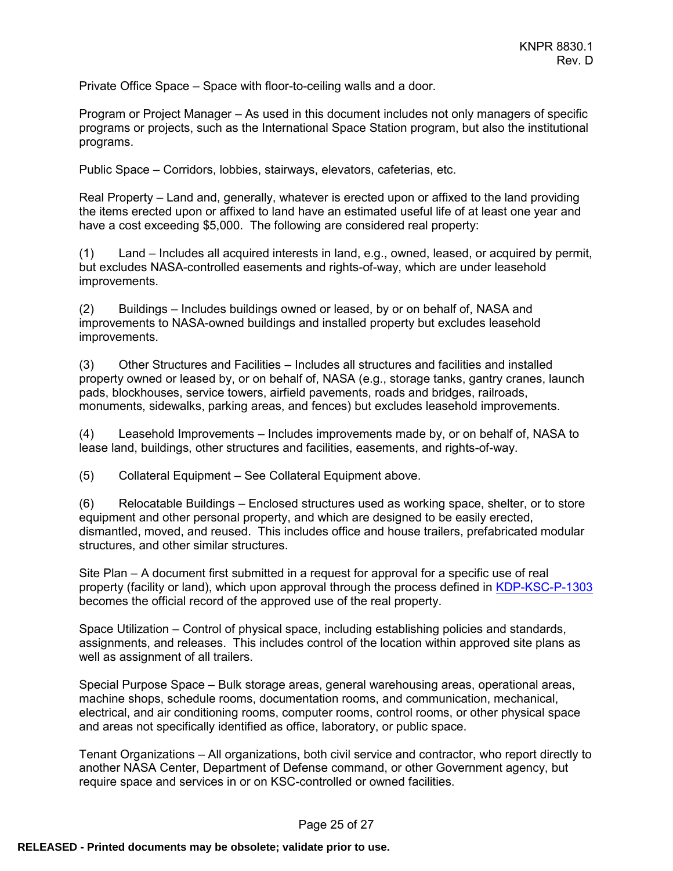Private Office Space – Space with floor-to-ceiling walls and a door.

Program or Project Manager – As used in this document includes not only managers of specific programs or projects, such as the International Space Station program, but also the institutional programs.

Public Space – Corridors, lobbies, stairways, elevators, cafeterias, etc.

Real Property – Land and, generally, whatever is erected upon or affixed to the land providing the items erected upon or affixed to land have an estimated useful life of at least one year and have a cost exceeding \$5,000. The following are considered real property:

(1) Land – Includes all acquired interests in land, e.g., owned, leased, or acquired by permit, but excludes NASA-controlled easements and rights-of-way, which are under leasehold improvements.

(2) Buildings – Includes buildings owned or leased, by or on behalf of, NASA and improvements to NASA-owned buildings and installed property but excludes leasehold improvements.

(3) Other Structures and Facilities – Includes all structures and facilities and installed property owned or leased by, or on behalf of, NASA (e.g., storage tanks, gantry cranes, launch pads, blockhouses, service towers, airfield pavements, roads and bridges, railroads, monuments, sidewalks, parking areas, and fences) but excludes leasehold improvements.

(4) Leasehold Improvements – Includes improvements made by, or on behalf of, NASA to lease land, buildings, other structures and facilities, easements, and rights-of-way.

(5) Collateral Equipment – See Collateral Equipment above.

(6) Relocatable Buildings – Enclosed structures used as working space, shelter, or to store equipment and other personal property, and which are designed to be easily erected, dismantled, moved, and reused. This includes office and house trailers, prefabricated modular structures, and other similar structures.

Site Plan – A document first submitted in a request for approval for a specific use of real property (facility or land), which upon approval through the process defined in [KDP-KSC-P-1303](https://tdksc.ksc.nasa.gov/servlet/dm.web.Fetch/kdp-ksc-p-1303.pdf?doc=kdp-ksc-p-1303&rev=$latest) becomes the official record of the approved use of the real property.

Space Utilization – Control of physical space, including establishing policies and standards, assignments, and releases. This includes control of the location within approved site plans as well as assignment of all trailers.

Special Purpose Space – Bulk storage areas, general warehousing areas, operational areas, machine shops, schedule rooms, documentation rooms, and communication, mechanical, electrical, and air conditioning rooms, computer rooms, control rooms, or other physical space and areas not specifically identified as office, laboratory, or public space.

Tenant Organizations – All organizations, both civil service and contractor, who report directly to another NASA Center, Department of Defense command, or other Government agency, but require space and services in or on KSC-controlled or owned facilities.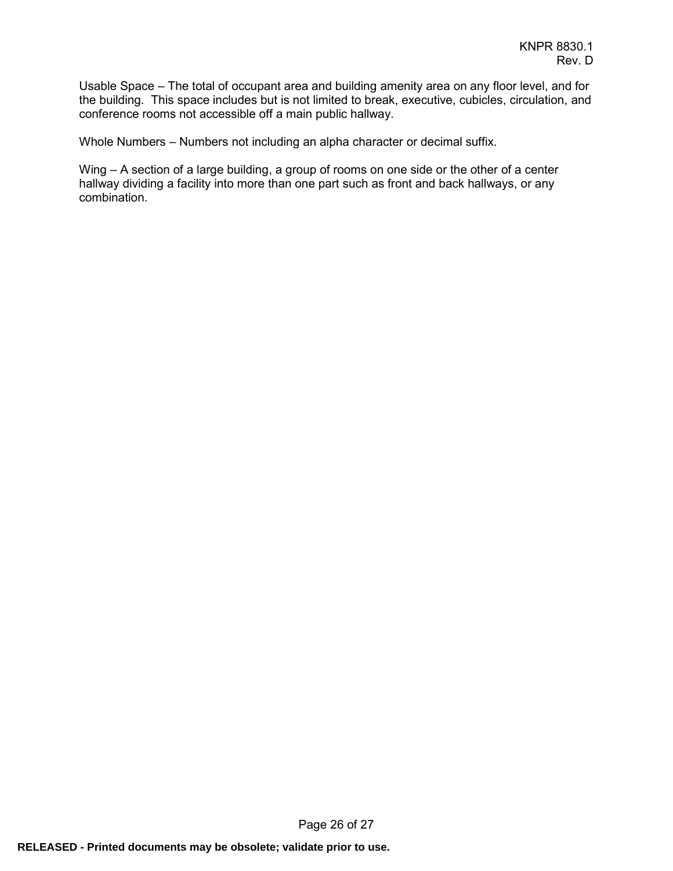Usable Space – The total of occupant area and building amenity area on any floor level, and for the building. This space includes but is not limited to break, executive, cubicles, circulation, and conference rooms not accessible off a main public hallway.

Whole Numbers – Numbers not including an alpha character or decimal suffix.

Wing – A section of a large building, a group of rooms on one side or the other of a center hallway dividing a facility into more than one part such as front and back hallways, or any combination.